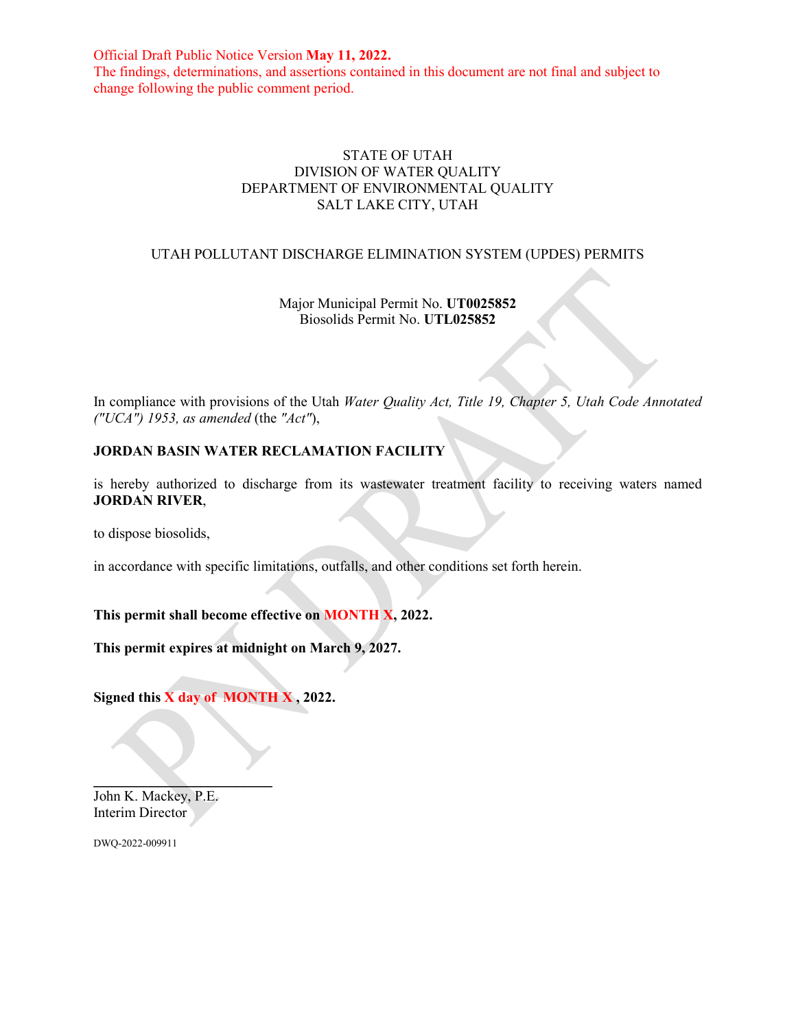Official Draft Public Notice Version **May 11, 2022.** The findings, determinations, and assertions contained in this document are not final and subject to change following the public comment period.

### STATE OF UTAH DIVISION OF WATER QUALITY DEPARTMENT OF ENVIRONMENTAL QUALITY SALT LAKE CITY, UTAH

#### UTAH POLLUTANT DISCHARGE ELIMINATION SYSTEM (UPDES) PERMITS

# Major Municipal Permit No. **UT0025852** Biosolids Permit No. **UTL025852**

In compliance with provisions of the Utah *Water Quality Act, Title 19, Chapter 5, Utah Code Annotated ("UCA") 1953, as amended* (the *"Act"*),

# **JORDAN BASIN WATER RECLAMATION FACILITY**

is hereby authorized to discharge from its wastewater treatment facility to receiving waters named **JORDAN RIVER**,

to dispose biosolids,

in accordance with specific limitations, outfalls, and other conditions set forth herein.

**This permit shall become effective on MONTH X, 2022.** 

**This permit expires at midnight on March 9, 2027.** 

**Signed this X day of MONTH X , 2022.** 

 $\frac{1}{2}$  ,  $\frac{1}{2}$  ,  $\frac{1}{2}$  ,  $\frac{1}{2}$  ,  $\frac{1}{2}$  ,  $\frac{1}{2}$  ,  $\frac{1}{2}$  ,  $\frac{1}{2}$  ,  $\frac{1}{2}$  ,  $\frac{1}{2}$  ,  $\frac{1}{2}$  ,  $\frac{1}{2}$  ,  $\frac{1}{2}$  ,  $\frac{1}{2}$  ,  $\frac{1}{2}$  ,  $\frac{1}{2}$  ,  $\frac{1}{2}$  ,  $\frac{1}{2}$  ,  $\frac{1$ John K. Mackey, P.E. Interim Director

DWQ-2022-009911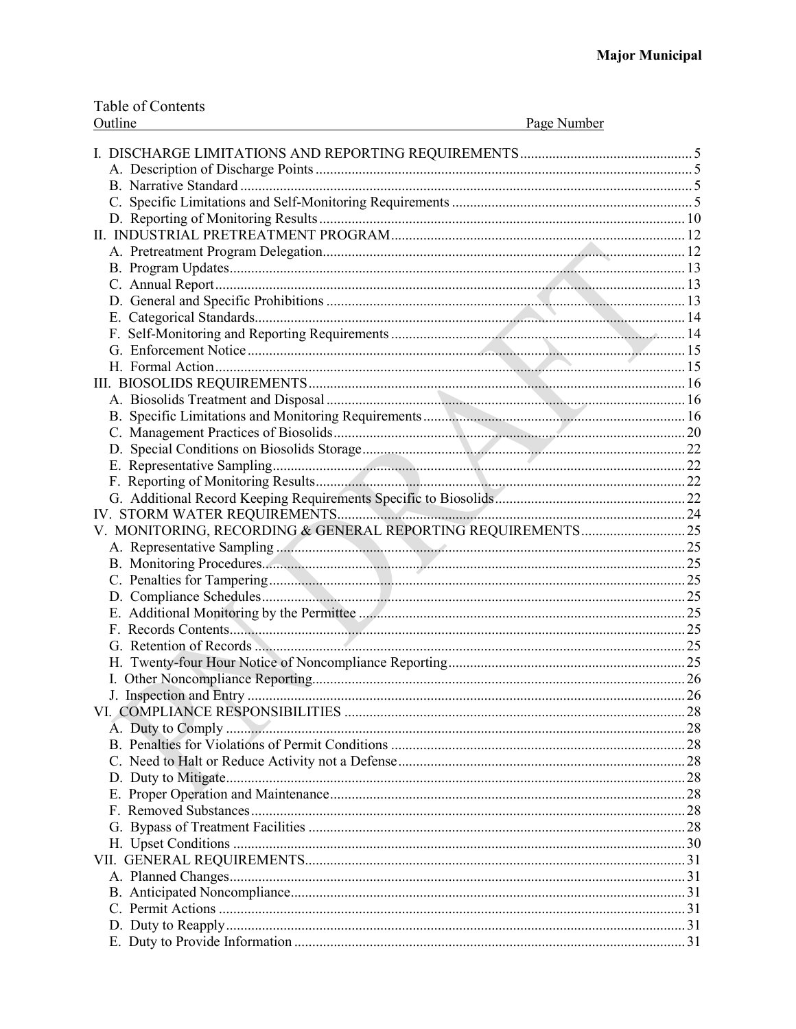|         | Table of Contents |
|---------|-------------------|
| Outline |                   |

| Page Number<br>Outline |    |
|------------------------|----|
|                        |    |
|                        |    |
|                        |    |
|                        |    |
|                        |    |
|                        |    |
|                        |    |
|                        |    |
|                        |    |
|                        |    |
|                        |    |
|                        |    |
|                        |    |
|                        |    |
|                        |    |
|                        |    |
|                        |    |
|                        |    |
|                        |    |
|                        |    |
|                        |    |
|                        |    |
|                        |    |
|                        |    |
|                        |    |
|                        |    |
|                        |    |
|                        |    |
|                        |    |
|                        |    |
|                        |    |
|                        |    |
|                        |    |
|                        |    |
|                        | 26 |
|                        |    |
|                        |    |
|                        |    |
|                        |    |
|                        |    |
|                        |    |
|                        |    |
|                        |    |
|                        |    |
|                        |    |
|                        |    |
|                        |    |
|                        |    |
|                        |    |
|                        |    |
|                        |    |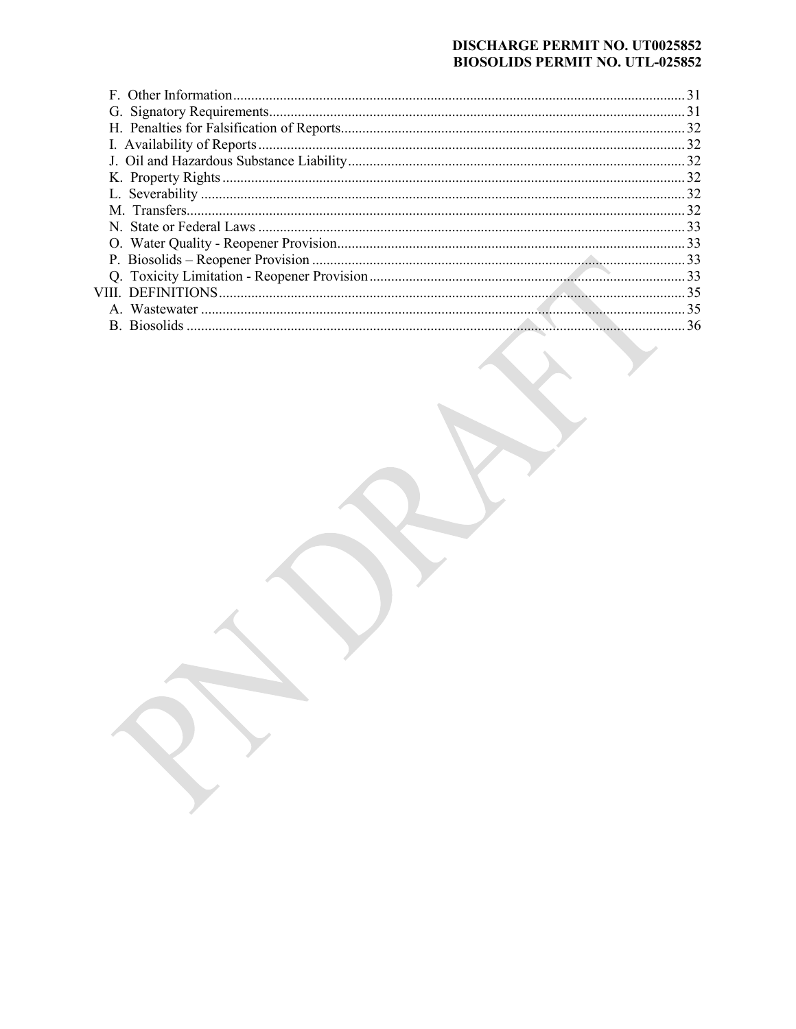### **DISCHARGE PERMIT NO. UT0025852 BIOSOLIDS PERMIT NO. UTL-025852**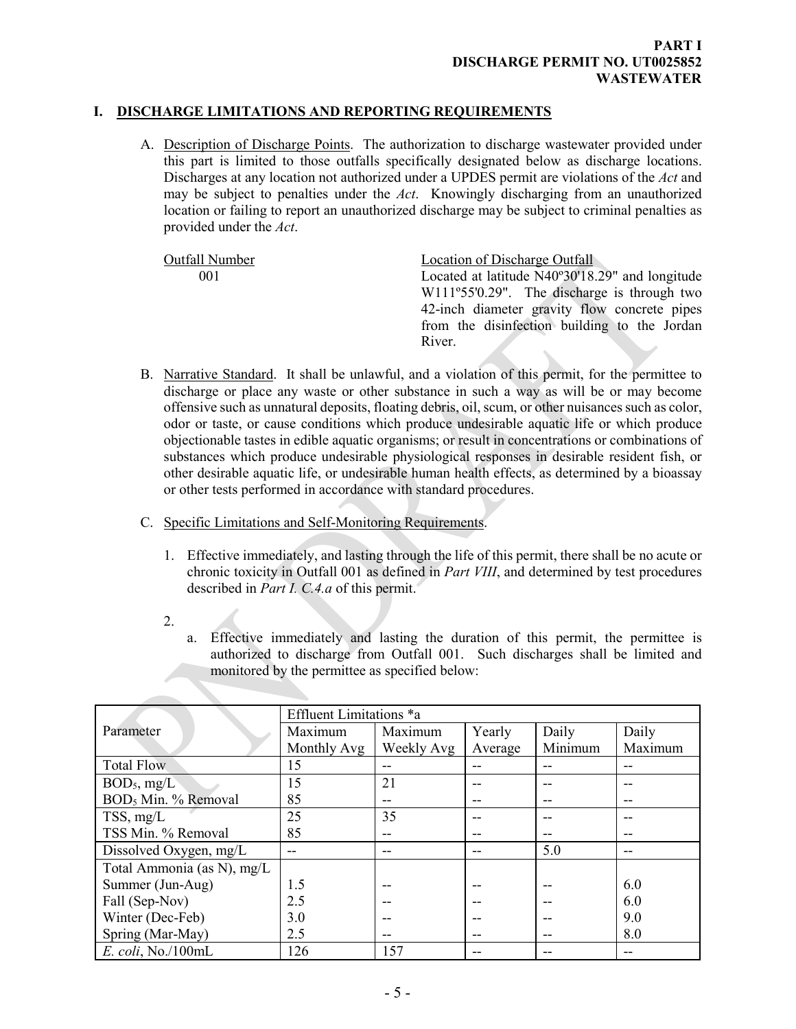# **I. DISCHARGE LIMITATIONS AND REPORTING REQUIREMENTS**

<span id="page-3-1"></span><span id="page-3-0"></span>A. Description of Discharge Points. The authorization to discharge wastewater provided under this part is limited to those outfalls specifically designated below as discharge locations. Discharges at any location not authorized under a UPDES permit are violations of the *Act* and may be subject to penalties under the *Act*. Knowingly discharging from an unauthorized location or failing to report an unauthorized discharge may be subject to criminal penalties as provided under the *Act*.

Outfall Number Location of Discharge Outfall 001 Located at latitude N40º30'18.29" and longitude W111º55'0.29". The discharge is through two 42-inch diameter gravity flow concrete pipes from the disinfection building to the Jordan River.

- <span id="page-3-2"></span>B. Narrative Standard. It shall be unlawful, and a violation of this permit, for the permittee to discharge or place any waste or other substance in such a way as will be or may become offensive such as unnatural deposits, floating debris, oil, scum, or other nuisances such as color, odor or taste, or cause conditions which produce undesirable aquatic life or which produce objectionable tastes in edible aquatic organisms; or result in concentrations or combinations of substances which produce undesirable physiological responses in desirable resident fish, or other desirable aquatic life, or undesirable human health effects, as determined by a bioassay or other tests performed in accordance with standard procedures.
- <span id="page-3-3"></span>C. Specific Limitations and Self-Monitoring Requirements.
	- 1. Effective immediately, and lasting through the life of this permit, there shall be no acute or chronic toxicity in Outfall 001 as defined in *Part VIII*, and determined by test procedures described in *Part I. C.4.a* of this permit.
	- 2.
		- a. Effective immediately and lasting the duration of this permit, the permittee is authorized to discharge from Outfall 001. Such discharges shall be limited and monitored by the permittee as specified below:

|                                 | Effluent Limitations *a |            |         |         |         |
|---------------------------------|-------------------------|------------|---------|---------|---------|
| Parameter                       | Maximum                 | Maximum    | Yearly  | Daily   | Daily   |
|                                 | Monthly Avg             | Weekly Avg | Average | Minimum | Maximum |
| <b>Total Flow</b>               | 15                      |            |         |         |         |
| BOD <sub>5</sub> , mg/L         | 15                      | 21         |         |         |         |
| BOD <sub>5</sub> Min. % Removal | 85                      |            | --      |         |         |
| TSS, mg/L                       | 25                      | 35         |         |         |         |
| TSS Min. % Removal              | 85                      |            |         |         |         |
| Dissolved Oxygen, mg/L          | --                      |            |         | 5.0     |         |
| Total Ammonia (as N), mg/L      |                         |            |         |         |         |
| Summer (Jun-Aug)                | 1.5                     |            |         |         | 6.0     |
| Fall (Sep-Nov)                  | 2.5                     |            |         |         | 6.0     |
| Winter (Dec-Feb)                | 3.0                     |            |         |         | 9.0     |
| Spring (Mar-May)                | 2.5                     |            |         |         | 8.0     |
| E. coli, No./100mL              | 126                     | 157        |         |         |         |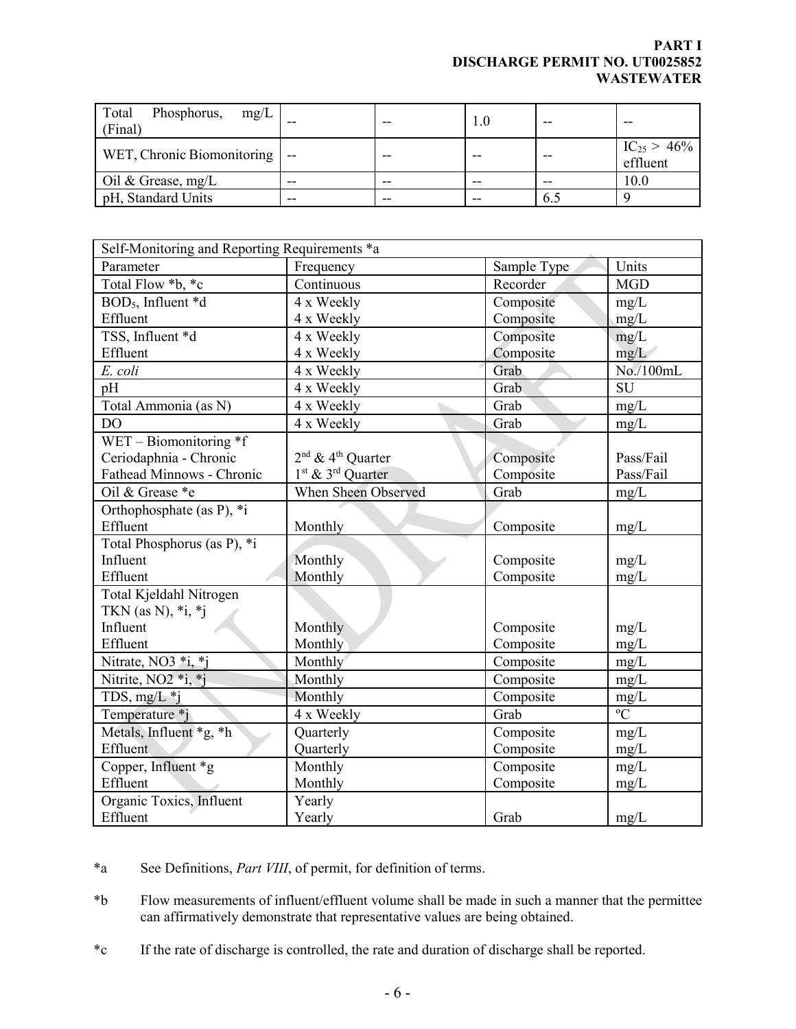# **PART I DISCHARGE PERMIT NO. UT0025852 WASTEWATER**

| Total<br>Phosphorus, $mg/L$<br>(Final) | --    |    |       |     |                              |
|----------------------------------------|-------|----|-------|-----|------------------------------|
| WET, Chronic Biomonitoring  -          |       |    |       |     | $IC_{25} > 46\%$<br>effluent |
| Oil & Grease, $mg/L$                   | $- -$ |    | --    |     | 10.0                         |
| pH, Standard Units                     | $- -$ | -- | $- -$ | 6.5 |                              |

| Self-Monitoring and Reporting Requirements *a |                                           |             |                |  |
|-----------------------------------------------|-------------------------------------------|-------------|----------------|--|
| Parameter                                     | Frequency                                 | Sample Type | Units          |  |
| Total Flow *b, *c                             | Continuous                                | Recorder    | <b>MGD</b>     |  |
| BOD <sub>5</sub> , Influent *d                | 4 x Weekly                                | Composite   | mg/L           |  |
| Effluent                                      | 4 x Weekly                                | Composite   | mg/L           |  |
| TSS, Influent *d                              | 4 x Weekly                                | Composite   | mg/L           |  |
| Effluent                                      | 4 x Weekly                                | Composite   | mg/L           |  |
| E. coli                                       | 4 x Weekly                                | Grab        | No./100mL      |  |
| pH                                            | 4 x Weekly                                | Grab        | <b>SU</b>      |  |
| Total Ammonia (as N)                          | 4 x Weekly                                | Grab        | mg/L           |  |
| DO                                            | 4 x Weekly                                | Grab        | mg/L           |  |
| WET - Biomonitoring $*f$                      |                                           |             |                |  |
| Ceriodaphnia - Chronic                        | 2 <sup>nd</sup> & 4 <sup>th</sup> Quarter | Composite   | Pass/Fail      |  |
| Fathead Minnows - Chronic                     | 1 <sup>st</sup> & 3 <sup>rd</sup> Quarter | Composite   | Pass/Fail      |  |
| Oil & Grease *e                               | When Sheen Observed                       | Grab        | mg/L           |  |
| Orthophosphate (as P), *i                     |                                           |             |                |  |
| Effluent                                      | Monthly                                   | Composite   | mg/L           |  |
| Total Phosphorus (as P), *i                   |                                           |             |                |  |
| Influent                                      | Monthly                                   | Composite   | mg/L           |  |
| Effluent                                      | Monthly                                   | Composite   | mg/L           |  |
| Total Kjeldahl Nitrogen                       |                                           |             |                |  |
| TKN (as N), $*$ i, $*$ j                      |                                           |             |                |  |
| Influent                                      | Monthly                                   | Composite   | mg/L           |  |
| Effluent                                      | Monthly                                   | Composite   | mg/L           |  |
| Nitrate, NO3 *i, *j                           | Monthly                                   | Composite   | mg/L           |  |
| Nitrite, NO <sub>2</sub> *i, *j               | Monthly                                   | Composite   | mg/L           |  |
| TDS, $mg/L *i$                                | Monthly                                   | Composite   | mg/L           |  |
| Temperature *j                                | 4 x Weekly                                | Grab        | $\overline{C}$ |  |
| Metals, Influent *g, *h                       | Quarterly                                 | Composite   | mg/L           |  |
| Effluent                                      | Quarterly                                 | Composite   | mg/L           |  |
| Copper, Influent *g                           | Monthly                                   | Composite   | mg/L           |  |
| Effluent                                      | Monthly                                   | Composite   | mg/L           |  |
| Organic Toxics, Influent                      | Yearly                                    |             |                |  |
| Effluent                                      | Yearly                                    | Grab        | mg/L           |  |

\*a See Definitions, *Part VIII*, of permit, for definition of terms.

\*b Flow measurements of influent/effluent volume shall be made in such a manner that the permittee can affirmatively demonstrate that representative values are being obtained.

\*c If the rate of discharge is controlled, the rate and duration of discharge shall be reported.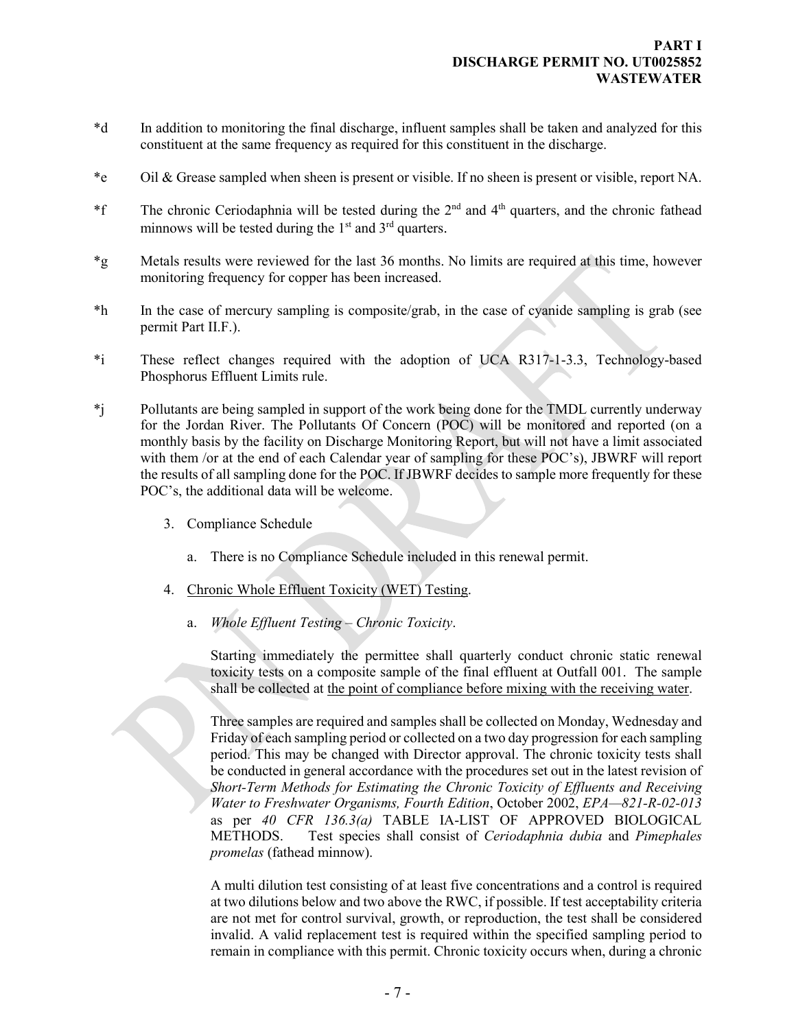- \*d In addition to monitoring the final discharge, influent samples shall be taken and analyzed for this constituent at the same frequency as required for this constituent in the discharge.
- \*e Oil & Grease sampled when sheen is present or visible. If no sheen is present or visible, report NA.
- <sup>\*f</sup> The chronic Ceriodaphnia will be tested during the  $2<sup>nd</sup>$  and  $4<sup>th</sup>$  quarters, and the chronic fathead minnows will be tested during the  $1<sup>st</sup>$  and  $3<sup>rd</sup>$  quarters.
- \*g Metals results were reviewed for the last 36 months. No limits are required at this time, however monitoring frequency for copper has been increased.
- \*h In the case of mercury sampling is composite/grab, in the case of cyanide sampling is grab (see permit Part II.F.).
- \*i These reflect changes required with the adoption of UCA R317-1-3.3, Technology-based Phosphorus Effluent Limits rule.
- \*j Pollutants are being sampled in support of the work being done for the TMDL currently underway for the Jordan River. The Pollutants Of Concern (POC) will be monitored and reported (on a monthly basis by the facility on Discharge Monitoring Report, but will not have a limit associated with them /or at the end of each Calendar year of sampling for these POC's), JBWRF will report the results of all sampling done for the POC. If JBWRF decides to sample more frequently for these POC's, the additional data will be welcome.
	- 3. Compliance Schedule
		- a. There is no Compliance Schedule included in this renewal permit.
	- 4. Chronic Whole Effluent Toxicity (WET) Testing.
		- a. *Whole Effluent Testing Chronic Toxicity*.

Starting immediately the permittee shall quarterly conduct chronic static renewal toxicity tests on a composite sample of the final effluent at Outfall 001. The sample shall be collected at the point of compliance before mixing with the receiving water.

Three samples are required and samples shall be collected on Monday, Wednesday and Friday of each sampling period or collected on a two day progression for each sampling period. This may be changed with Director approval. The chronic toxicity tests shall be conducted in general accordance with the procedures set out in the latest revision of *Short-Term Methods for Estimating the Chronic Toxicity of Effluents and Receiving Water to Freshwater Organisms, Fourth Edition*, October 2002, *EPA—821-R-02-013*  as per *40 CFR 136.3(a)* TABLE IA-LIST OF APPROVED BIOLOGICAL METHODS. Test species shall consist of *Ceriodaphnia dubia* and *Pimephales promelas* (fathead minnow).

A multi dilution test consisting of at least five concentrations and a control is required at two dilutions below and two above the RWC, if possible. If test acceptability criteria are not met for control survival, growth, or reproduction, the test shall be considered invalid. A valid replacement test is required within the specified sampling period to remain in compliance with this permit. Chronic toxicity occurs when, during a chronic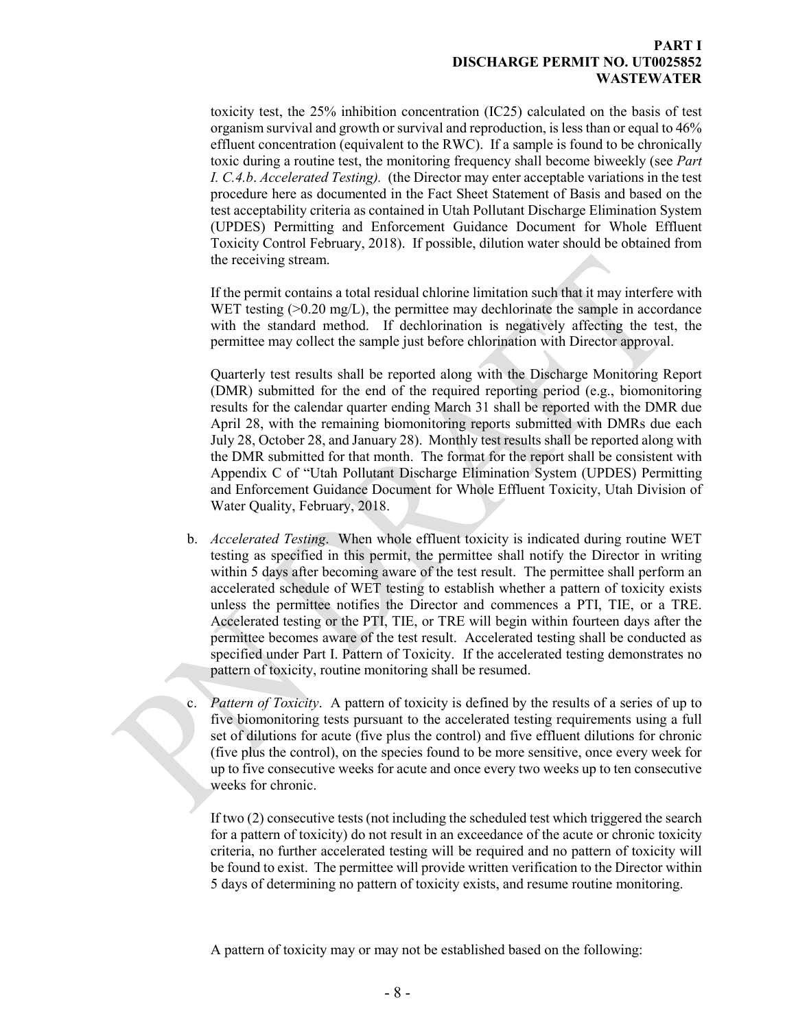### **PART I DISCHARGE PERMIT NO. UT0025852 WASTEWATER**

toxicity test, the 25% inhibition concentration (IC25) calculated on the basis of test organism survival and growth or survival and reproduction, is less than or equal to 46% effluent concentration (equivalent to the RWC). If a sample is found to be chronically toxic during a routine test, the monitoring frequency shall become biweekly (see *Part I. C.4.b*. *Accelerated Testing).* (the Director may enter acceptable variations in the test procedure here as documented in the Fact Sheet Statement of Basis and based on the test acceptability criteria as contained in Utah Pollutant Discharge Elimination System (UPDES) Permitting and Enforcement Guidance Document for Whole Effluent Toxicity Control February, 2018). If possible, dilution water should be obtained from the receiving stream.

If the permit contains a total residual chlorine limitation such that it may interfere with WET testing  $(0.20 \text{ mg/L})$ , the permittee may dechlorinate the sample in accordance with the standard method. If dechlorination is negatively affecting the test, the permittee may collect the sample just before chlorination with Director approval.

Quarterly test results shall be reported along with the Discharge Monitoring Report (DMR) submitted for the end of the required reporting period (e.g., biomonitoring results for the calendar quarter ending March 31 shall be reported with the DMR due April 28, with the remaining biomonitoring reports submitted with DMRs due each July 28, October 28, and January 28). Monthly test results shall be reported along with the DMR submitted for that month. The format for the report shall be consistent with Appendix C of "Utah Pollutant Discharge Elimination System (UPDES) Permitting and Enforcement Guidance Document for Whole Effluent Toxicity, Utah Division of Water Quality, February, 2018.

- b. *Accelerated Testing*. When whole effluent toxicity is indicated during routine WET testing as specified in this permit, the permittee shall notify the Director in writing within 5 days after becoming aware of the test result. The permittee shall perform an accelerated schedule of WET testing to establish whether a pattern of toxicity exists unless the permittee notifies the Director and commences a PTI, TIE, or a TRE. Accelerated testing or the PTI, TIE, or TRE will begin within fourteen days after the permittee becomes aware of the test result. Accelerated testing shall be conducted as specified under Part I. Pattern of Toxicity. If the accelerated testing demonstrates no pattern of toxicity, routine monitoring shall be resumed.
- c. *Pattern of Toxicity*. A pattern of toxicity is defined by the results of a series of up to five biomonitoring tests pursuant to the accelerated testing requirements using a full set of dilutions for acute (five plus the control) and five effluent dilutions for chronic (five plus the control), on the species found to be more sensitive, once every week for up to five consecutive weeks for acute and once every two weeks up to ten consecutive weeks for chronic.

If two (2) consecutive tests (not including the scheduled test which triggered the search for a pattern of toxicity) do not result in an exceedance of the acute or chronic toxicity criteria, no further accelerated testing will be required and no pattern of toxicity will be found to exist. The permittee will provide written verification to the Director within 5 days of determining no pattern of toxicity exists, and resume routine monitoring.

A pattern of toxicity may or may not be established based on the following: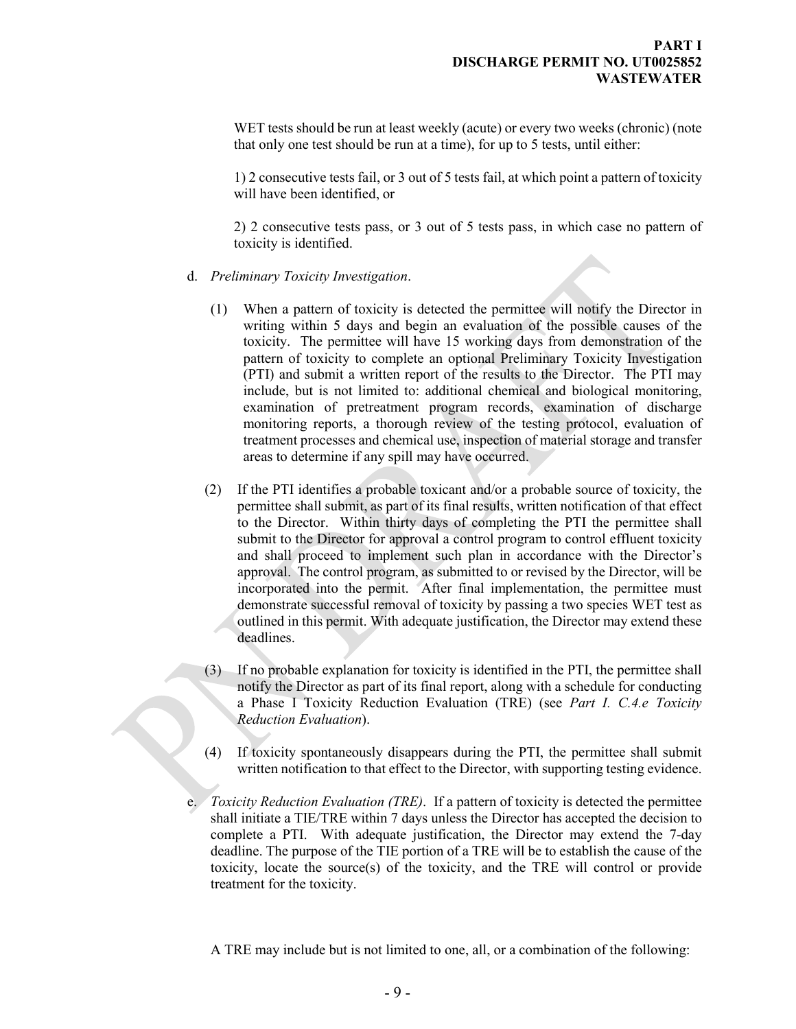WET tests should be run at least weekly (acute) or every two weeks (chronic) (note that only one test should be run at a time), for up to 5 tests, until either:

1) 2 consecutive tests fail, or 3 out of 5 tests fail, at which point a pattern of toxicity will have been identified, or

2) 2 consecutive tests pass, or 3 out of 5 tests pass, in which case no pattern of toxicity is identified.

- d. *Preliminary Toxicity Investigation*.
	- (1) When a pattern of toxicity is detected the permittee will notify the Director in writing within 5 days and begin an evaluation of the possible causes of the toxicity. The permittee will have 15 working days from demonstration of the pattern of toxicity to complete an optional Preliminary Toxicity Investigation (PTI) and submit a written report of the results to the Director. The PTI may include, but is not limited to: additional chemical and biological monitoring, examination of pretreatment program records, examination of discharge monitoring reports, a thorough review of the testing protocol, evaluation of treatment processes and chemical use, inspection of material storage and transfer areas to determine if any spill may have occurred.
	- (2) If the PTI identifies a probable toxicant and/or a probable source of toxicity, the permittee shall submit, as part of its final results, written notification of that effect to the Director. Within thirty days of completing the PTI the permittee shall submit to the Director for approval a control program to control effluent toxicity and shall proceed to implement such plan in accordance with the Director's approval. The control program, as submitted to or revised by the Director, will be incorporated into the permit. After final implementation, the permittee must demonstrate successful removal of toxicity by passing a two species WET test as outlined in this permit. With adequate justification, the Director may extend these deadlines.
	- (3) If no probable explanation for toxicity is identified in the PTI, the permittee shall notify the Director as part of its final report, along with a schedule for conducting a Phase I Toxicity Reduction Evaluation (TRE) (see *Part I. C.4.e Toxicity Reduction Evaluation*).
	- (4) If toxicity spontaneously disappears during the PTI, the permittee shall submit written notification to that effect to the Director, with supporting testing evidence.
- e. *Toxicity Reduction Evaluation (TRE)*. If a pattern of toxicity is detected the permittee shall initiate a TIE/TRE within 7 days unless the Director has accepted the decision to complete a PTI. With adequate justification, the Director may extend the 7-day deadline. The purpose of the TIE portion of a TRE will be to establish the cause of the toxicity, locate the source(s) of the toxicity, and the TRE will control or provide treatment for the toxicity.

A TRE may include but is not limited to one, all, or a combination of the following: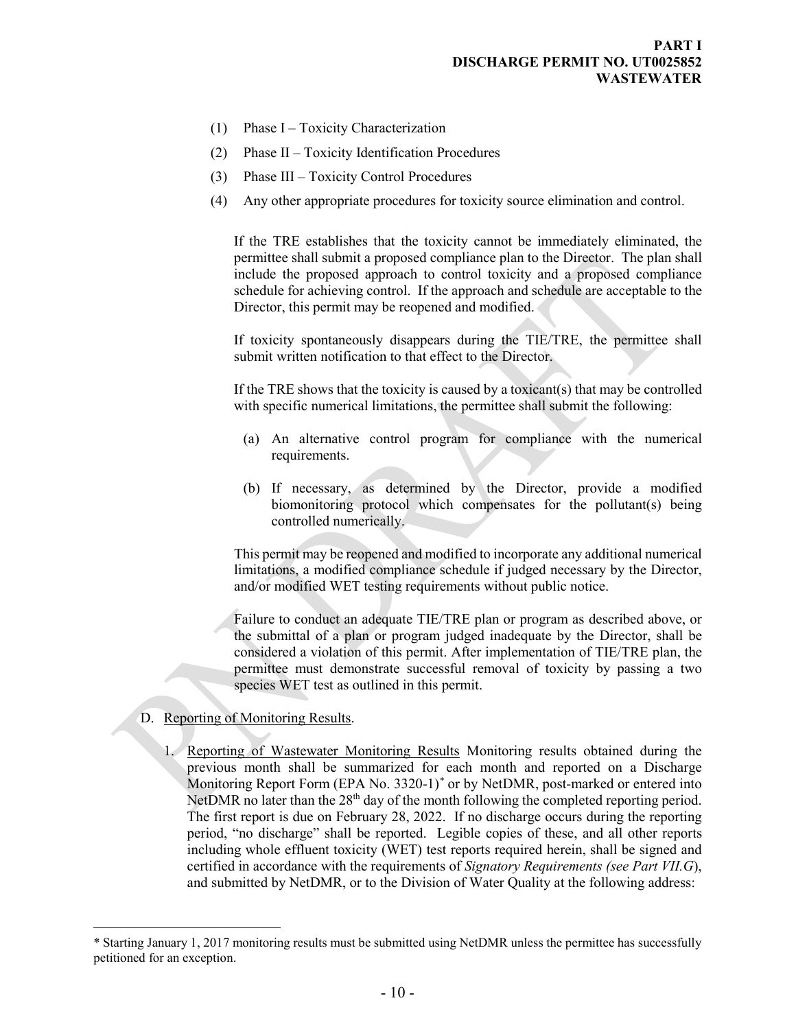- (1) Phase I Toxicity Characterization
- (2) Phase II Toxicity Identification Procedures
- (3) Phase III Toxicity Control Procedures
- (4) Any other appropriate procedures for toxicity source elimination and control.

If the TRE establishes that the toxicity cannot be immediately eliminated, the permittee shall submit a proposed compliance plan to the Director. The plan shall include the proposed approach to control toxicity and a proposed compliance schedule for achieving control. If the approach and schedule are acceptable to the Director, this permit may be reopened and modified.

If toxicity spontaneously disappears during the TIE/TRE, the permittee shall submit written notification to that effect to the Director.

If the TRE shows that the toxicity is caused by a toxicant(s) that may be controlled with specific numerical limitations, the permittee shall submit the following:

- (a) An alternative control program for compliance with the numerical requirements.
- (b) If necessary, as determined by the Director, provide a modified biomonitoring protocol which compensates for the pollutant(s) being controlled numerically.

This permit may be reopened and modified to incorporate any additional numerical limitations, a modified compliance schedule if judged necessary by the Director, and/or modified WET testing requirements without public notice.

<span id="page-8-0"></span>Failure to conduct an adequate TIE/TRE plan or program as described above, or the submittal of a plan or program judged inadequate by the Director, shall be considered a violation of this permit. After implementation of TIE/TRE plan, the permittee must demonstrate successful removal of toxicity by passing a two species WET test as outlined in this permit.

D. Reporting of Monitoring Results.

 $\overline{a}$ 

1. Reporting of Wastewater Monitoring Results Monitoring results obtained during the previous month shall be summarized for each month and reported on a Discharge Monitoring Report Form (EPA No. 3320-1)[\\*](#page-8-1) or by NetDMR, post-marked or entered into NetDMR no later than the  $28<sup>th</sup>$  day of the month following the completed reporting period. The first report is due on February 28, 2022. If no discharge occurs during the reporting period, "no discharge" shall be reported. Legible copies of these, and all other reports including whole effluent toxicity (WET) test reports required herein, shall be signed and certified in accordance with the requirements of *Signatory Requirements (see Part VII.G*), and submitted by NetDMR, or to the Division of Water Quality at the following address:

<span id="page-8-1"></span><sup>\*</sup> Starting January 1, 2017 monitoring results must be submitted using NetDMR unless the permittee has successfully petitioned for an exception.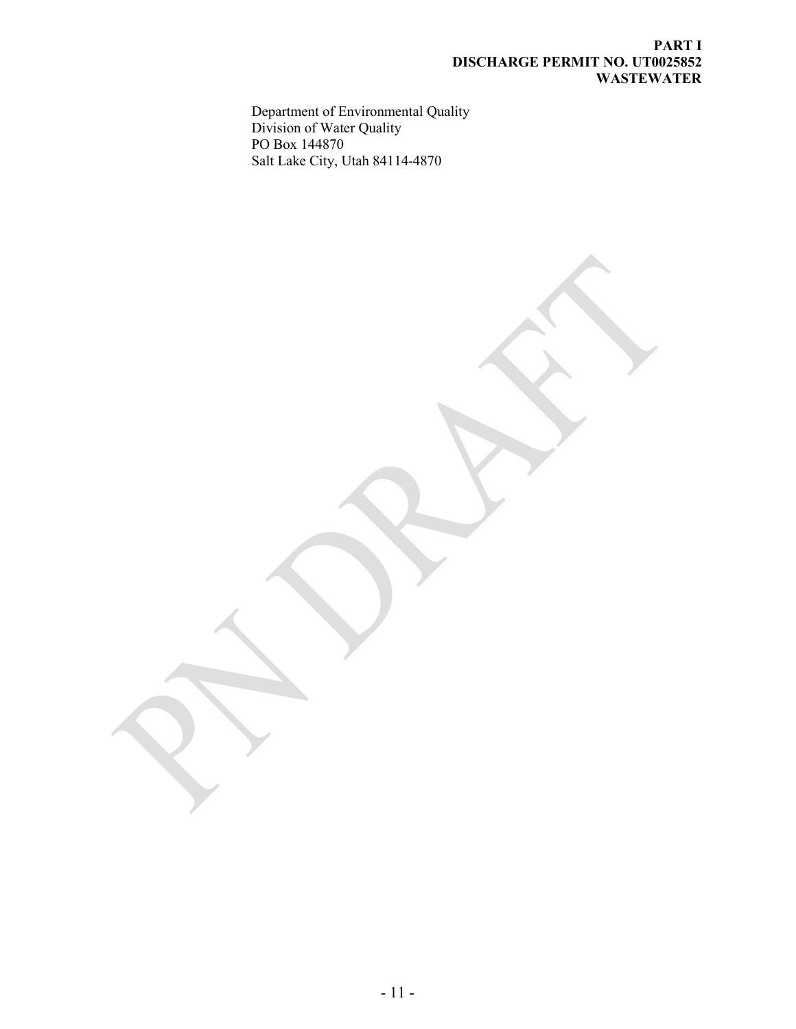### **PART I DISCHARGE PERMIT NO. UT0025852 WASTEWATER**

Department of Environmental Quality Division of Water Quality PO Box 144870 Salt Lake City, Utah 84114-4870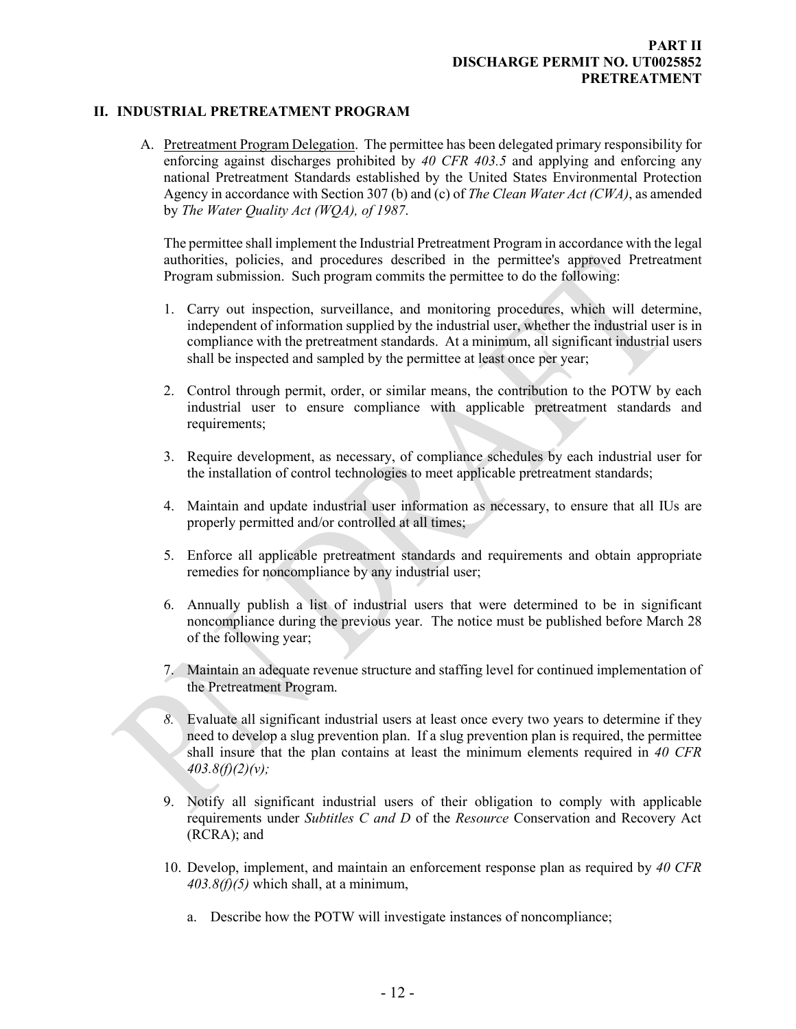### <span id="page-10-1"></span><span id="page-10-0"></span>**PART II DISCHARGE PERMIT NO. UT0025852 PRETREATMENT**

### **II. INDUSTRIAL PRETREATMENT PROGRAM**

A. Pretreatment Program Delegation. The permittee has been delegated primary responsibility for enforcing against discharges prohibited by *40 CFR 403.5* and applying and enforcing any national Pretreatment Standards established by the United States Environmental Protection Agency in accordance with Section 307 (b) and (c) of *The Clean Water Act (CWA)*, as amended by *The Water Quality Act (WQA), of 1987*.

The permittee shall implement the Industrial Pretreatment Program in accordance with the legal authorities, policies, and procedures described in the permittee's approved Pretreatment Program submission. Such program commits the permittee to do the following:

- 1. Carry out inspection, surveillance, and monitoring procedures, which will determine, independent of information supplied by the industrial user, whether the industrial user is in compliance with the pretreatment standards. At a minimum, all significant industrial users shall be inspected and sampled by the permittee at least once per year;
- 2. Control through permit, order, or similar means, the contribution to the POTW by each industrial user to ensure compliance with applicable pretreatment standards and requirements;
- 3. Require development, as necessary, of compliance schedules by each industrial user for the installation of control technologies to meet applicable pretreatment standards;
- 4. Maintain and update industrial user information as necessary, to ensure that all IUs are properly permitted and/or controlled at all times;
- 5. Enforce all applicable pretreatment standards and requirements and obtain appropriate remedies for noncompliance by any industrial user;
- 6. Annually publish a list of industrial users that were determined to be in significant noncompliance during the previous year. The notice must be published before March 28 of the following year;
- 7. Maintain an adequate revenue structure and staffing level for continued implementation of the Pretreatment Program.
- *8.* Evaluate all significant industrial users at least once every two years to determine if they need to develop a slug prevention plan. If a slug prevention plan is required, the permittee shall insure that the plan contains at least the minimum elements required in *40 CFR 403.8(f)(2)(v);*
- 9. Notify all significant industrial users of their obligation to comply with applicable requirements under *Subtitles C and D* of the *Resource* Conservation and Recovery Act (RCRA); and
- 10. Develop, implement, and maintain an enforcement response plan as required by *40 CFR 403.8(f)(5)* which shall, at a minimum,
	- a. Describe how the POTW will investigate instances of noncompliance;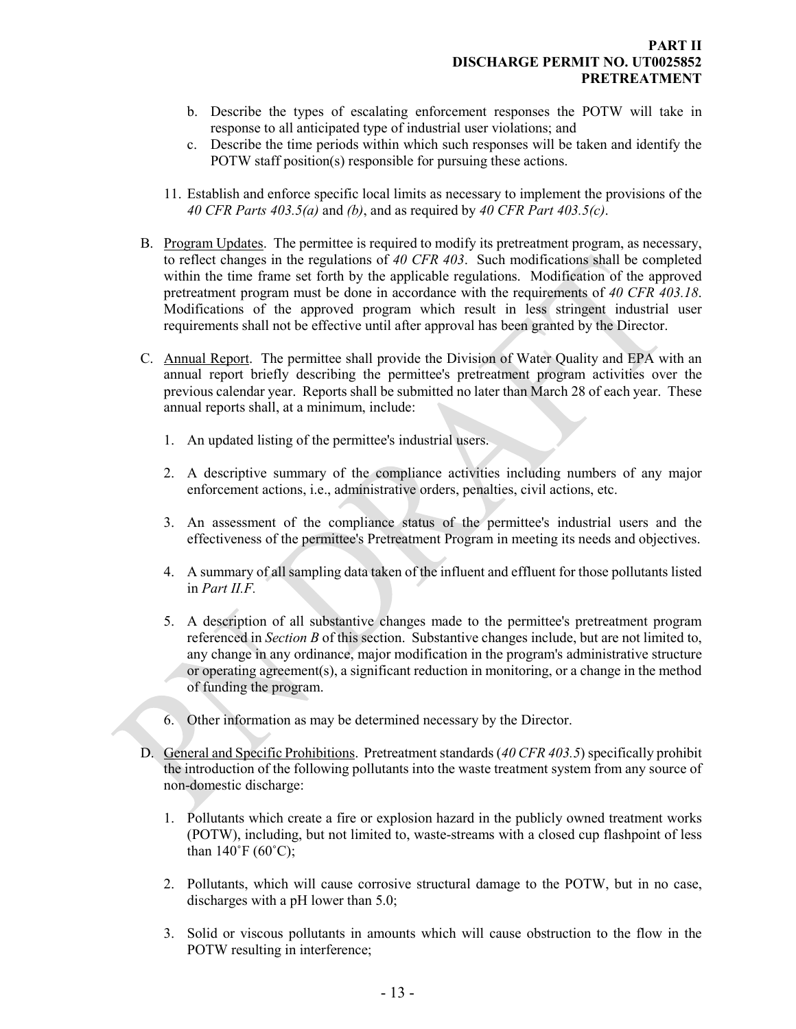- b. Describe the types of escalating enforcement responses the POTW will take in response to all anticipated type of industrial user violations; and
- c. Describe the time periods within which such responses will be taken and identify the POTW staff position(s) responsible for pursuing these actions.
- <span id="page-11-0"></span>11. Establish and enforce specific local limits as necessary to implement the provisions of the *40 CFR Parts 403.5(a)* and *(b)*, and as required by *40 CFR Part 403.5(c)*.
- B. Program Updates. The permittee is required to modify its pretreatment program, as necessary, to reflect changes in the regulations of *40 CFR 403*. Such modifications shall be completed within the time frame set forth by the applicable regulations. Modification of the approved pretreatment program must be done in accordance with the requirements of *40 CFR 403.18*. Modifications of the approved program which result in less stringent industrial user requirements shall not be effective until after approval has been granted by the Director.
- <span id="page-11-1"></span>C. Annual Report. The permittee shall provide the Division of Water Quality and EPA with an annual report briefly describing the permittee's pretreatment program activities over the previous calendar year. Reports shall be submitted no later than March 28 of each year. These annual reports shall, at a minimum, include:
	- 1. An updated listing of the permittee's industrial users.
	- 2. A descriptive summary of the compliance activities including numbers of any major enforcement actions, i.e., administrative orders, penalties, civil actions, etc.
	- 3. An assessment of the compliance status of the permittee's industrial users and the effectiveness of the permittee's Pretreatment Program in meeting its needs and objectives.
	- 4. A summary of all sampling data taken of the influent and effluent for those pollutants listed in *Part II.F.*
	- 5. A description of all substantive changes made to the permittee's pretreatment program referenced in *Section B* of this section. Substantive changes include, but are not limited to, any change in any ordinance, major modification in the program's administrative structure or operating agreement(s), a significant reduction in monitoring, or a change in the method of funding the program.
	- 6. Other information as may be determined necessary by the Director.
- <span id="page-11-2"></span>D. General and Specific Prohibitions. Pretreatment standards (*40 CFR 403.5*) specifically prohibit the introduction of the following pollutants into the waste treatment system from any source of non-domestic discharge:
	- 1. Pollutants which create a fire or explosion hazard in the publicly owned treatment works (POTW), including, but not limited to, waste-streams with a closed cup flashpoint of less than  $140^{\circ}F(60^{\circ}C)$ ;
	- 2. Pollutants, which will cause corrosive structural damage to the POTW, but in no case, discharges with a pH lower than 5.0;
	- 3. Solid or viscous pollutants in amounts which will cause obstruction to the flow in the POTW resulting in interference;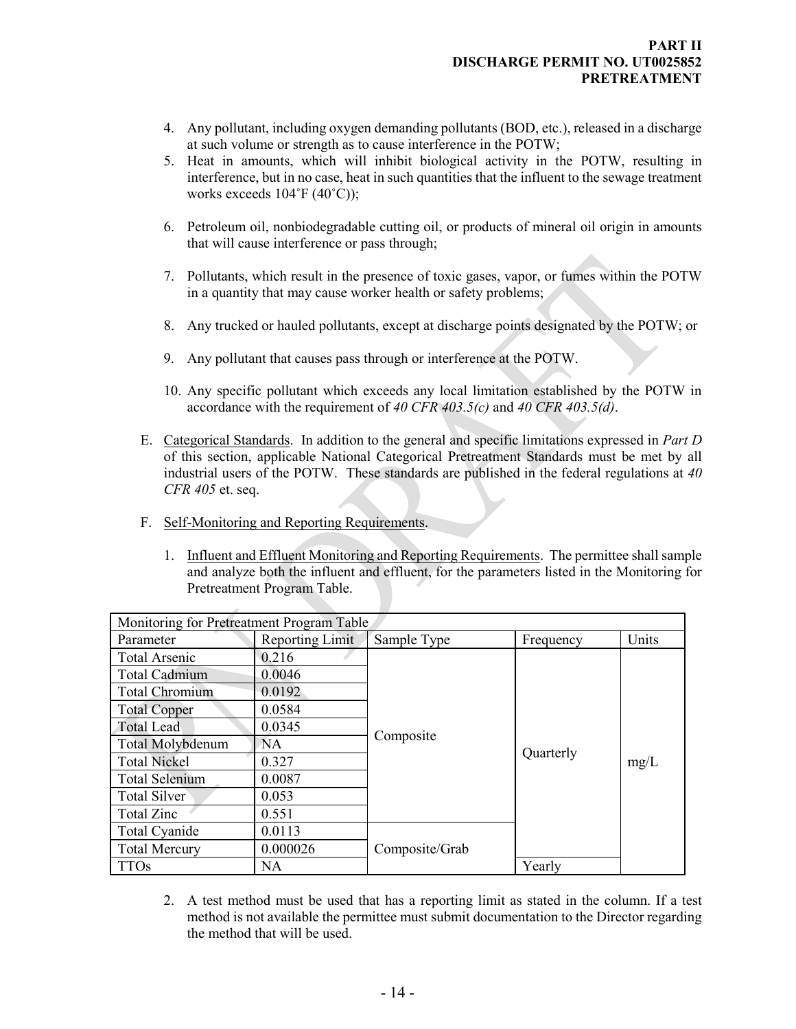- 4. Any pollutant, including oxygen demanding pollutants (BOD, etc.), released in a discharge at such volume or strength as to cause interference in the POTW;
- 5. Heat in amounts, which will inhibit biological activity in the POTW, resulting in interference, but in no case, heat in such quantities that the influent to the sewage treatment works exceeds 104˚F (40˚C));
- 6. Petroleum oil, nonbiodegradable cutting oil, or products of mineral oil origin in amounts that will cause interference or pass through;
- 7. Pollutants, which result in the presence of toxic gases, vapor, or fumes within the POTW in a quantity that may cause worker health or safety problems;
- 8. Any trucked or hauled pollutants, except at discharge points designated by the POTW; or
- 9. Any pollutant that causes pass through or interference at the POTW.
- <span id="page-12-0"></span>10. Any specific pollutant which exceeds any local limitation established by the POTW in accordance with the requirement of *40 CFR 403.5(c)* and *40 CFR 403.5(d)*.
- E. Categorical Standards. In addition to the general and specific limitations expressed in *Part D*  of this section, applicable National Categorical Pretreatment Standards must be met by all industrial users of the POTW. These standards are published in the federal regulations at *40 CFR 405* et. seq.
- <span id="page-12-1"></span>F. Self-Monitoring and Reporting Requirements.
	- 1. Influent and Effluent Monitoring and Reporting Requirements. The permittee shall sample and analyze both the influent and effluent, for the parameters listed in the Monitoring for Pretreatment Program Table.

| Monitoring for Pretreatment Program Table |                        |                |           |       |
|-------------------------------------------|------------------------|----------------|-----------|-------|
| Parameter                                 | <b>Reporting Limit</b> | Sample Type    | Frequency | Units |
| <b>Total Arsenic</b>                      | 0.216                  |                |           |       |
| Total Cadmium                             | 0.0046                 |                |           |       |
| Total Chromium                            | 0.0192                 |                |           |       |
| <b>Total Copper</b>                       | 0.0584                 |                |           |       |
| <b>Total Lead</b>                         | 0.0345                 | Composite      | Quarterly | mg/L  |
| <b>Total Molybdenum</b>                   | NA                     |                |           |       |
| <b>Total Nickel</b>                       | 0.327                  |                |           |       |
| <b>Total Selenium</b>                     | 0.0087                 |                |           |       |
| Total Silver                              | 0.053                  |                |           |       |
| Total Zinc                                | 0.551                  |                |           |       |
| Total Cyanide                             | 0.0113                 |                |           |       |
| <b>Total Mercury</b>                      | 0.000026               | Composite/Grab |           |       |
| <b>TTOs</b>                               | NA.                    |                | Yearly    |       |

2. A test method must be used that has a reporting limit as stated in the column. If a test method is not available the permittee must submit documentation to the Director regarding the method that will be used.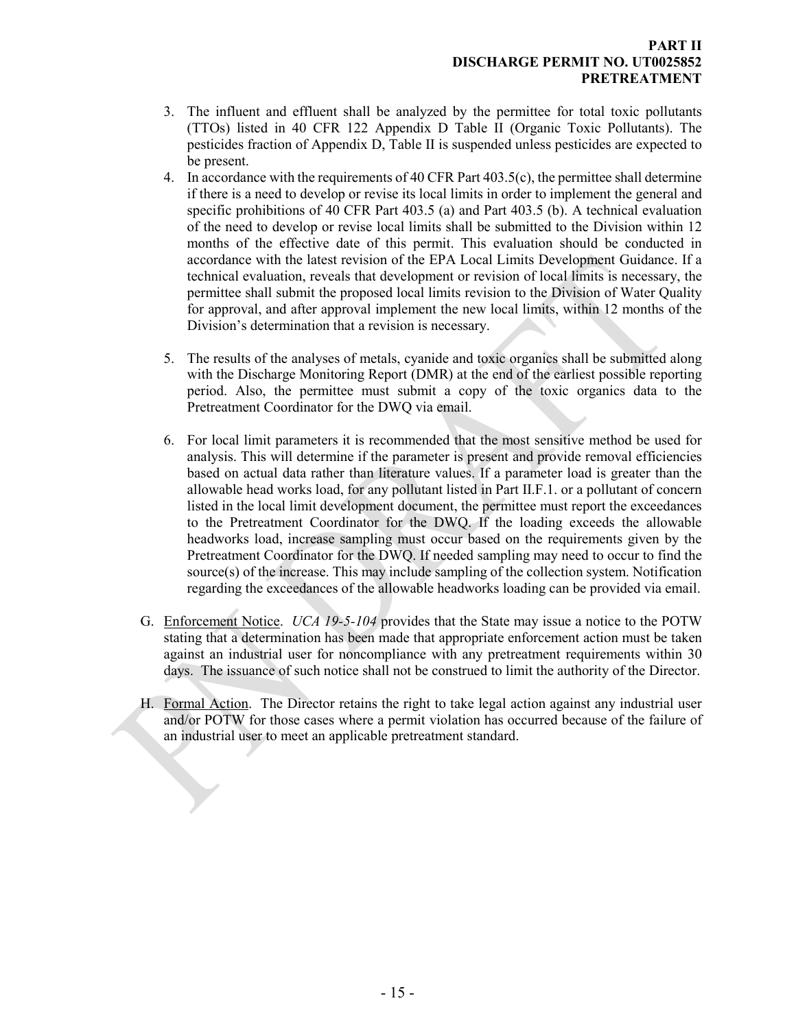- 3. The influent and effluent shall be analyzed by the permittee for total toxic pollutants (TTOs) listed in 40 CFR 122 Appendix D Table II (Organic Toxic Pollutants). The pesticides fraction of Appendix D, Table II is suspended unless pesticides are expected to be present.
- 4. In accordance with the requirements of 40 CFR Part  $403.5(c)$ , the permittee shall determine if there is a need to develop or revise its local limits in order to implement the general and specific prohibitions of 40 CFR Part 403.5 (a) and Part 403.5 (b). A technical evaluation of the need to develop or revise local limits shall be submitted to the Division within 12 months of the effective date of this permit. This evaluation should be conducted in accordance with the latest revision of the EPA Local Limits Development Guidance. If a technical evaluation, reveals that development or revision of local limits is necessary, the permittee shall submit the proposed local limits revision to the Division of Water Quality for approval, and after approval implement the new local limits, within 12 months of the Division's determination that a revision is necessary.
- 5. The results of the analyses of metals, cyanide and toxic organics shall be submitted along with the Discharge Monitoring Report (DMR) at the end of the earliest possible reporting period. Also, the permittee must submit a copy of the toxic organics data to the Pretreatment Coordinator for the DWQ via email.
- 6. For local limit parameters it is recommended that the most sensitive method be used for analysis. This will determine if the parameter is present and provide removal efficiencies based on actual data rather than literature values. If a parameter load is greater than the allowable head works load, for any pollutant listed in Part II.F.1. or a pollutant of concern listed in the local limit development document, the permittee must report the exceedances to the Pretreatment Coordinator for the DWQ. If the loading exceeds the allowable headworks load, increase sampling must occur based on the requirements given by the Pretreatment Coordinator for the DWQ. If needed sampling may need to occur to find the source(s) of the increase. This may include sampling of the collection system. Notification regarding the exceedances of the allowable headworks loading can be provided via email.
- <span id="page-13-0"></span>G. Enforcement Notice. *UCA 19-5-104* provides that the State may issue a notice to the POTW stating that a determination has been made that appropriate enforcement action must be taken against an industrial user for noncompliance with any pretreatment requirements within 30 days. The issuance of such notice shall not be construed to limit the authority of the Director.
- <span id="page-13-1"></span>H. Formal Action. The Director retains the right to take legal action against any industrial user and/or POTW for those cases where a permit violation has occurred because of the failure of an industrial user to meet an applicable pretreatment standard.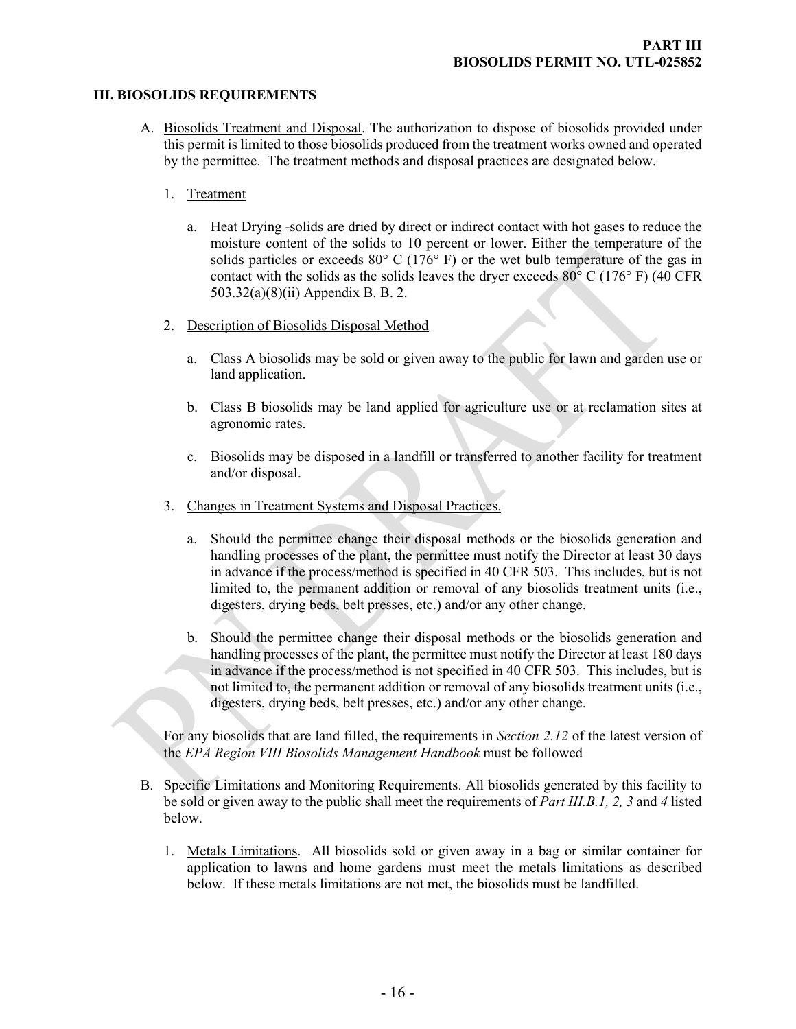#### **III. BIOSOLIDS REQUIREMENTS**

- <span id="page-14-1"></span><span id="page-14-0"></span>A. Biosolids Treatment and Disposal. The authorization to dispose of biosolids provided under this permit is limited to those biosolids produced from the treatment works owned and operated by the permittee. The treatment methods and disposal practices are designated below.
	- 1. Treatment
		- a. Heat Drying -solids are dried by direct or indirect contact with hot gases to reduce the moisture content of the solids to 10 percent or lower. Either the temperature of the solids particles or exceeds 80 $\degree$  C (176 $\degree$  F) or the wet bulb temperature of the gas in contact with the solids as the solids leaves the dryer exceeds  $80^{\circ}$  C (176 $^{\circ}$  F) (40 CFR 503.32(a)(8)(ii) Appendix B. B. 2.
	- 2. Description of Biosolids Disposal Method
		- a. Class A biosolids may be sold or given away to the public for lawn and garden use or land application.
		- b. Class B biosolids may be land applied for agriculture use or at reclamation sites at agronomic rates.
		- c. Biosolids may be disposed in a landfill or transferred to another facility for treatment and/or disposal.
	- 3. Changes in Treatment Systems and Disposal Practices.
		- a. Should the permittee change their disposal methods or the biosolids generation and handling processes of the plant, the permittee must notify the Director at least 30 days in advance if the process/method is specified in 40 CFR 503. This includes, but is not limited to, the permanent addition or removal of any biosolids treatment units (i.e., digesters, drying beds, belt presses, etc.) and/or any other change.
		- b. Should the permittee change their disposal methods or the biosolids generation and handling processes of the plant, the permittee must notify the Director at least 180 days in advance if the process/method is not specified in 40 CFR 503. This includes, but is not limited to, the permanent addition or removal of any biosolids treatment units (i.e., digesters, drying beds, belt presses, etc.) and/or any other change.

For any biosolids that are land filled, the requirements in *Section 2.12* of the latest version of the *EPA Region VIII Biosolids Management Handbook* must be followed

- <span id="page-14-2"></span>B. Specific Limitations and Monitoring Requirements. All biosolids generated by this facility to be sold or given away to the public shall meet the requirements of *Part III.B.1, 2, 3* and *4* listed below.
	- 1. Metals Limitations. All biosolids sold or given away in a bag or similar container for application to lawns and home gardens must meet the metals limitations as described below. If these metals limitations are not met, the biosolids must be landfilled.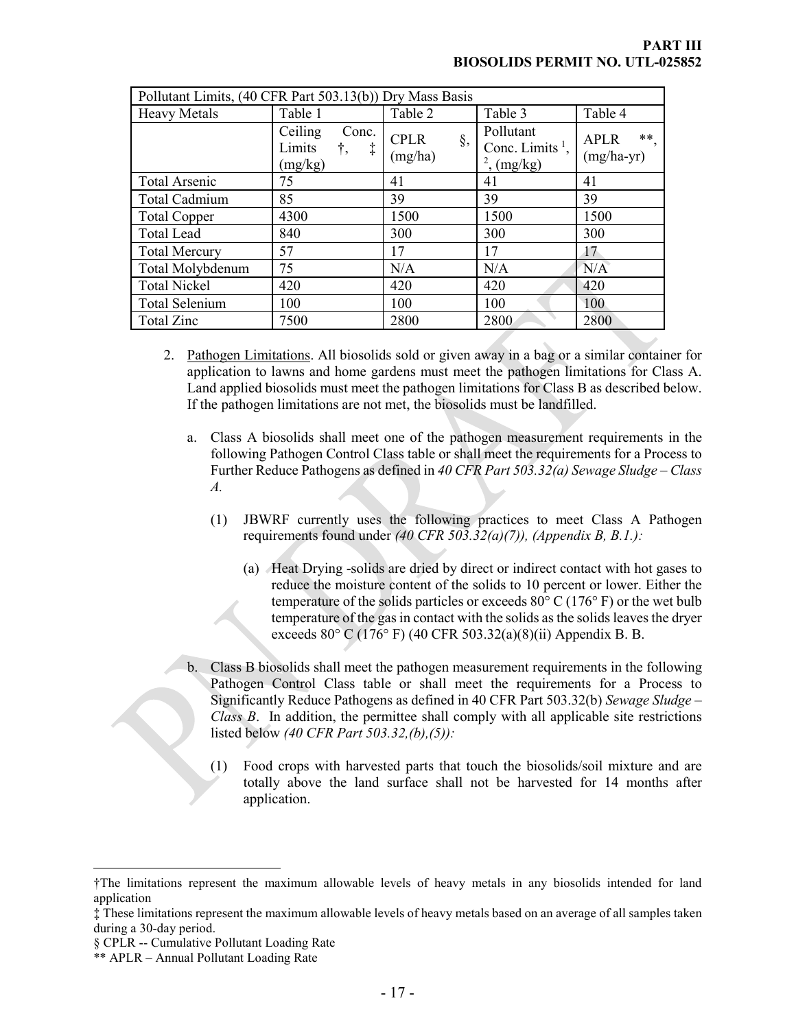| Pollutant Limits, (40 CFR Part 503.13(b)) Dry Mass Basis |                                                           |                              |                                                           |                                      |
|----------------------------------------------------------|-----------------------------------------------------------|------------------------------|-----------------------------------------------------------|--------------------------------------|
| <b>Heavy Metals</b>                                      | Table 1                                                   | Table 2                      | Table 3                                                   | Table 4                              |
|                                                          | Ceiling<br>Conc.<br>Limits<br>$\ddagger$<br>t,<br>(mg/kg) | <b>CPLR</b><br>§,<br>(mg/ha) | Pollutant<br>Conc. Limits <sup>1</sup> ,<br>$2$ , (mg/kg) | $***$<br><b>APLR</b><br>$(mg/ha-yr)$ |
| Total Arsenic                                            | 75                                                        | 41                           | 41                                                        | 41                                   |
| Total Cadmium                                            | 85                                                        | 39                           | 39                                                        | 39                                   |
| <b>Total Copper</b>                                      | 4300                                                      | 1500                         | 1500                                                      | 1500                                 |
| <b>Total Lead</b>                                        | 840                                                       | 300                          | 300                                                       | 300                                  |
| <b>Total Mercury</b>                                     | 57                                                        | 17                           | 17                                                        | 17                                   |
| Total Molybdenum                                         | 75                                                        | N/A                          | N/A                                                       | N/A                                  |
| <b>Total Nickel</b>                                      | 420                                                       | 420                          | 420                                                       | 420                                  |
| <b>Total Selenium</b>                                    | 100                                                       | 100                          | 100                                                       | 100                                  |
| Total Zinc                                               | 7500                                                      | 2800                         | 2800                                                      | 2800                                 |

- 2. Pathogen Limitations. All biosolids sold or given away in a bag or a similar container for application to lawns and home gardens must meet the pathogen limitations for Class A. Land applied biosolids must meet the pathogen limitations for Class B as described below. If the pathogen limitations are not met, the biosolids must be landfilled.
	- a. Class A biosolids shall meet one of the pathogen measurement requirements in the following Pathogen Control Class table or shall meet the requirements for a Process to Further Reduce Pathogens as defined in *40 CFR Part 503.32(a) Sewage Sludge – Class A.*
		- (1) JBWRF currently uses the following practices to meet Class A Pathogen requirements found under *(40 CFR 503.32(a)(7)), (Appendix B, B.1.):*
			- (a) Heat Drying -solids are dried by direct or indirect contact with hot gases to reduce the moisture content of the solids to 10 percent or lower. Either the temperature of the solids particles or exceeds  $80^{\circ}$  C (176° F) or the wet bulb temperature of the gas in contact with the solids as the solids leaves the dryer exceeds 80° C (176° F) (40 CFR 503.32(a)(8)(ii) Appendix B. B.
	- b. Class B biosolids shall meet the pathogen measurement requirements in the following Pathogen Control Class table or shall meet the requirements for a Process to Significantly Reduce Pathogens as defined in 40 CFR Part 503.32(b) *Sewage Sludge – Class B*. In addition, the permittee shall comply with all applicable site restrictions listed below *(40 CFR Part 503.32,(b),(5)):*
		- (1) Food crops with harvested parts that touch the biosolids/soil mixture and are totally above the land surface shall not be harvested for 14 months after application.

 $\overline{a}$ 

<span id="page-15-0"></span><sup>†</sup>The limitations represent the maximum allowable levels of heavy metals in any biosolids intended for land application

<span id="page-15-1"></span><sup>‡</sup> These limitations represent the maximum allowable levels of heavy metals based on an average of all samples taken during a 30-day period.

<span id="page-15-2"></span><sup>§</sup> CPLR -- Cumulative Pollutant Loading Rate

<span id="page-15-3"></span><sup>\*\*</sup> APLR – Annual Pollutant Loading Rate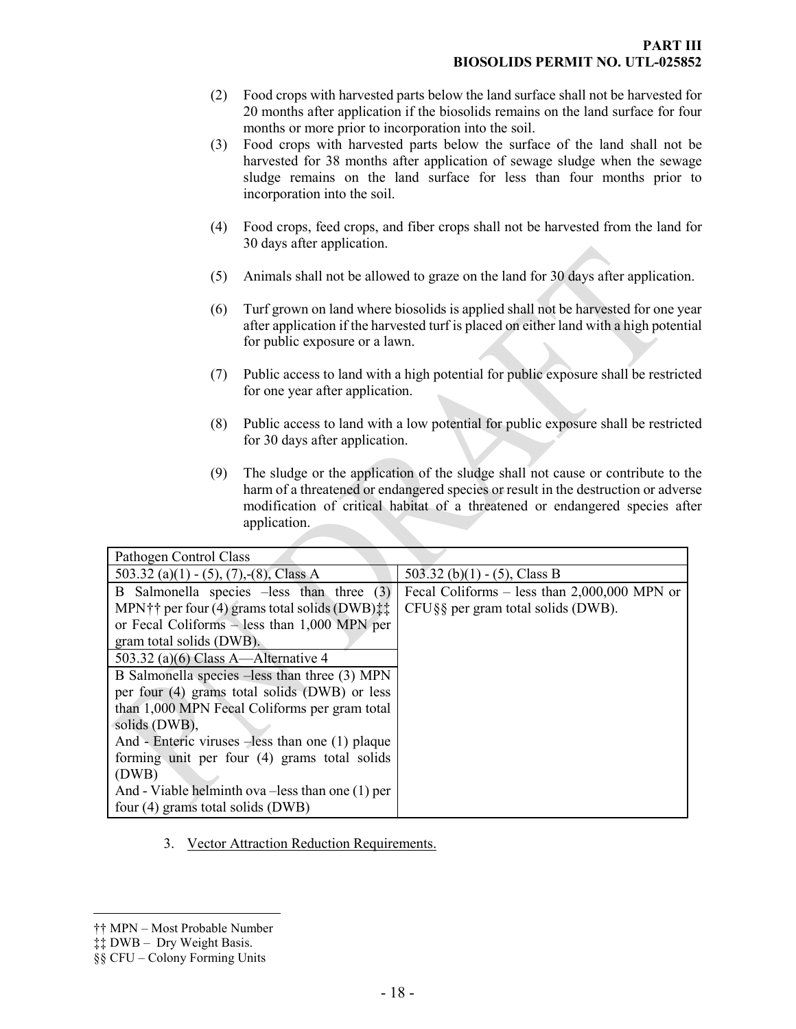- (2) Food crops with harvested parts below the land surface shall not be harvested for 20 months after application if the biosolids remains on the land surface for four months or more prior to incorporation into the soil.
- (3) Food crops with harvested parts below the surface of the land shall not be harvested for 38 months after application of sewage sludge when the sewage sludge remains on the land surface for less than four months prior to incorporation into the soil.
- (4) Food crops, feed crops, and fiber crops shall not be harvested from the land for 30 days after application.
- (5) Animals shall not be allowed to graze on the land for 30 days after application.
- (6) Turf grown on land where biosolids is applied shall not be harvested for one year after application if the harvested turf is placed on either land with a high potential for public exposure or a lawn.
- (7) Public access to land with a high potential for public exposure shall be restricted for one year after application.
- (8) Public access to land with a low potential for public exposure shall be restricted for 30 days after application.
- (9) The sludge or the application of the sludge shall not cause or contribute to the harm of a threatened or endangered species or result in the destruction or adverse modification of critical habitat of a threatened or endangered species after application.

| Pathogen Control Class                                                      |                                                |
|-----------------------------------------------------------------------------|------------------------------------------------|
| 503.32 (a)(1) - (5), (7), -(8), Class A                                     | 503.32 (b)(1) - (5), Class B                   |
| B Salmonella species -less than three (3)                                   | Fecal Coliforms – less than $2,000,000$ MPN or |
| MPN <sup>†</sup> † per four (4) grams total solids (DWB) $\ddagger\ddagger$ | $CFU\S$ g per gram total solids (DWB).         |
| or Fecal Coliforms $-$ less than 1,000 MPN per                              |                                                |
| gram total solids (DWB).                                                    |                                                |
| 503.32 (a)(6) Class A—Alternative 4                                         |                                                |
| B Salmonella species –less than three (3) MPN                               |                                                |
| per four $(4)$ grams total solids $(DWB)$ or less                           |                                                |
| than 1,000 MPN Fecal Coliforms per gram total                               |                                                |
| solids (DWB),                                                               |                                                |
| And - Enteric viruses -less than one (1) plaque                             |                                                |
| forming unit per four (4) grams total solids                                |                                                |
| (DWB)                                                                       |                                                |
| And - Viable helminth ova $-$ less than one $(1)$ per                       |                                                |
| four (4) grams total solids (DWB)                                           |                                                |

3. Vector Attraction Reduction Requirements.

 $\overline{a}$ †† MPN – Most Probable Number

<span id="page-16-1"></span><span id="page-16-0"></span><sup>‡‡</sup> DWB – Dry Weight Basis.

<span id="page-16-2"></span><sup>§§</sup> CFU – Colony Forming Units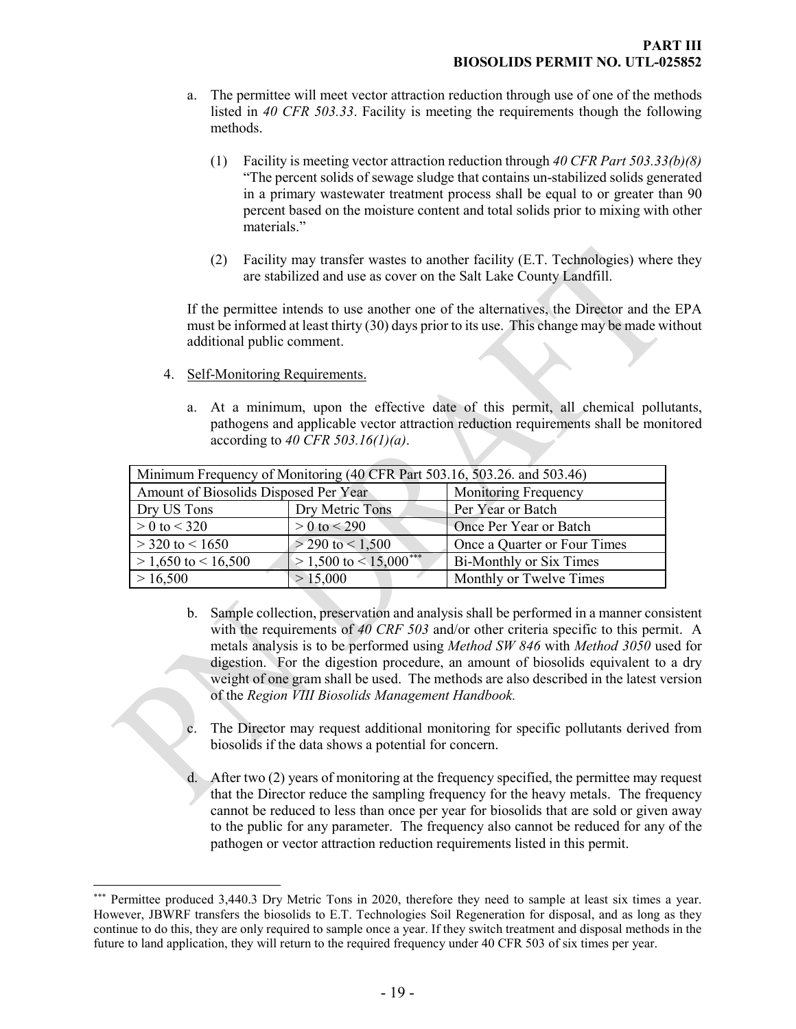- a. The permittee will meet vector attraction reduction through use of one of the methods listed in *40 CFR 503.33*. Facility is meeting the requirements though the following methods.
	- (1) Facility is meeting vector attraction reduction through *40 CFR Part 503.33(b)(8)* "The percent solids of sewage sludge that contains un-stabilized solids generated in a primary wastewater treatment process shall be equal to or greater than 90 percent based on the moisture content and total solids prior to mixing with other materials."
	- (2) Facility may transfer wastes to another facility (E.T. Technologies) where they are stabilized and use as cover on the Salt Lake County Landfill.

If the permittee intends to use another one of the alternatives, the Director and the EPA must be informed at least thirty (30) days prior to its use. This change may be made without additional public comment.

- 4. Self-Monitoring Requirements.
	- a. At a minimum, upon the effective date of this permit, all chemical pollutants, pathogens and applicable vector attraction reduction requirements shall be monitored according to *40 CFR 503.16(1)(a)*.

| Minimum Frequency of Monitoring (40 CFR Part 503.16, 503.26. and 503.46) |                             |                              |  |
|--------------------------------------------------------------------------|-----------------------------|------------------------------|--|
| Amount of Biosolids Disposed Per Year                                    |                             | <b>Monitoring Frequency</b>  |  |
| Dry Metric Tons<br>Dry US Tons                                           |                             | Per Year or Batch            |  |
| $> 0$ to $< 320$                                                         | $> 0$ to $< 290$            | Once Per Year or Batch       |  |
| $>$ 320 to $<$ 1650                                                      | $>$ 290 to $<$ 1,500        | Once a Quarter or Four Times |  |
| $> 1,650$ to $< 16,500$                                                  | $> 1,500$ to $< 15,000$ *** | Bi-Monthly or Six Times      |  |
| > 16,500                                                                 | > 15,000                    | Monthly or Twelve Times      |  |

- b. Sample collection, preservation and analysis shall be performed in a manner consistent with the requirements of *40 CRF 503* and/or other criteria specific to this permit. A metals analysis is to be performed using *Method SW 846* with *Method 3050* used for digestion. For the digestion procedure, an amount of biosolids equivalent to a dry weight of one gram shall be used. The methods are also described in the latest version of the *Region VIII Biosolids Management Handbook.*
- The Director may request additional monitoring for specific pollutants derived from biosolids if the data shows a potential for concern.
- d. After two (2) years of monitoring at the frequency specified, the permittee may request that the Director reduce the sampling frequency for the heavy metals. The frequency cannot be reduced to less than once per year for biosolids that are sold or given away to the public for any parameter. The frequency also cannot be reduced for any of the pathogen or vector attraction reduction requirements listed in this permit.

<span id="page-17-0"></span> $\overline{a}$ Permittee produced 3,440.3 Dry Metric Tons in 2020, therefore they need to sample at least six times a year. However, JBWRF transfers the biosolids to E.T. Technologies Soil Regeneration for disposal, and as long as they continue to do this, they are only required to sample once a year. If they switch treatment and disposal methods in the future to land application, they will return to the required frequency under 40 CFR 503 of six times per year.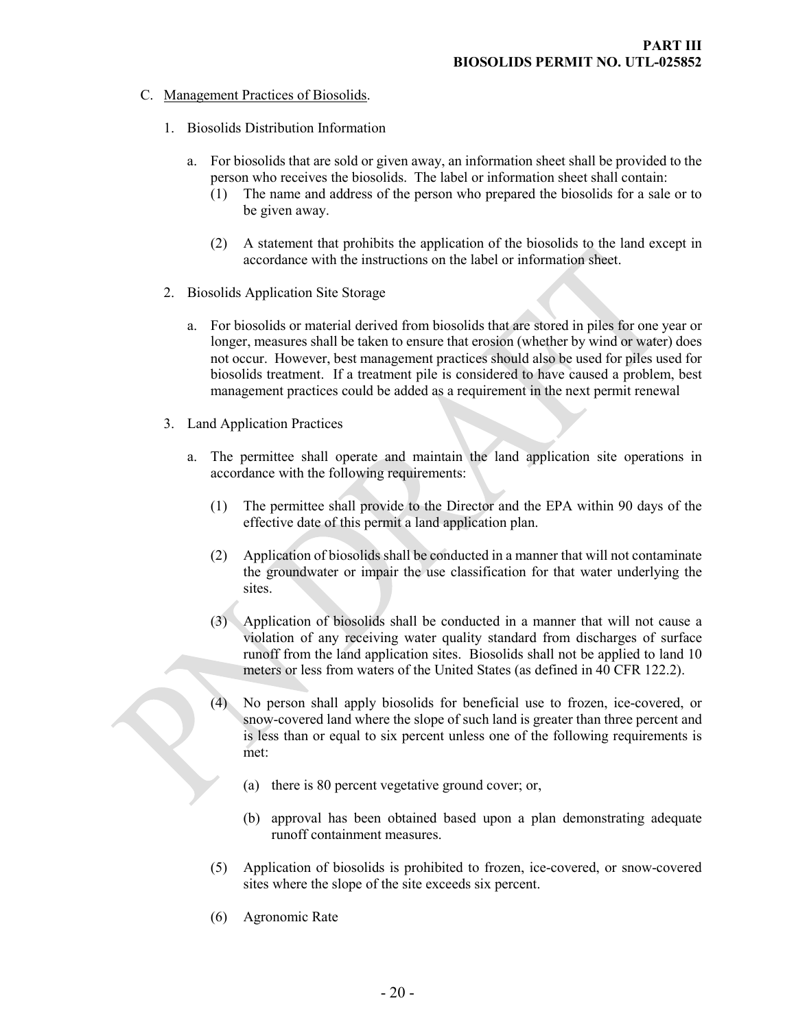- <span id="page-18-0"></span>C. Management Practices of Biosolids.
	- 1. Biosolids Distribution Information
		- a. For biosolids that are sold or given away, an information sheet shall be provided to the person who receives the biosolids. The label or information sheet shall contain:
			- (1) The name and address of the person who prepared the biosolids for a sale or to be given away.
			- (2) A statement that prohibits the application of the biosolids to the land except in accordance with the instructions on the label or information sheet.
	- 2. Biosolids Application Site Storage
		- a. For biosolids or material derived from biosolids that are stored in piles for one year or longer, measures shall be taken to ensure that erosion (whether by wind or water) does not occur. However, best management practices should also be used for piles used for biosolids treatment. If a treatment pile is considered to have caused a problem, best management practices could be added as a requirement in the next permit renewal
	- 3. Land Application Practices
		- a. The permittee shall operate and maintain the land application site operations in accordance with the following requirements:
			- (1) The permittee shall provide to the Director and the EPA within 90 days of the effective date of this permit a land application plan.
			- (2) Application of biosolids shall be conducted in a manner that will not contaminate the groundwater or impair the use classification for that water underlying the sites.
			- (3) Application of biosolids shall be conducted in a manner that will not cause a violation of any receiving water quality standard from discharges of surface runoff from the land application sites. Biosolids shall not be applied to land 10 meters or less from waters of the United States (as defined in 40 CFR 122.2).
			- (4) No person shall apply biosolids for beneficial use to frozen, ice-covered, or snow-covered land where the slope of such land is greater than three percent and is less than or equal to six percent unless one of the following requirements is met:
				- (a) there is 80 percent vegetative ground cover; or,
				- (b) approval has been obtained based upon a plan demonstrating adequate runoff containment measures.
			- (5) Application of biosolids is prohibited to frozen, ice-covered, or snow-covered sites where the slope of the site exceeds six percent.
			- (6) Agronomic Rate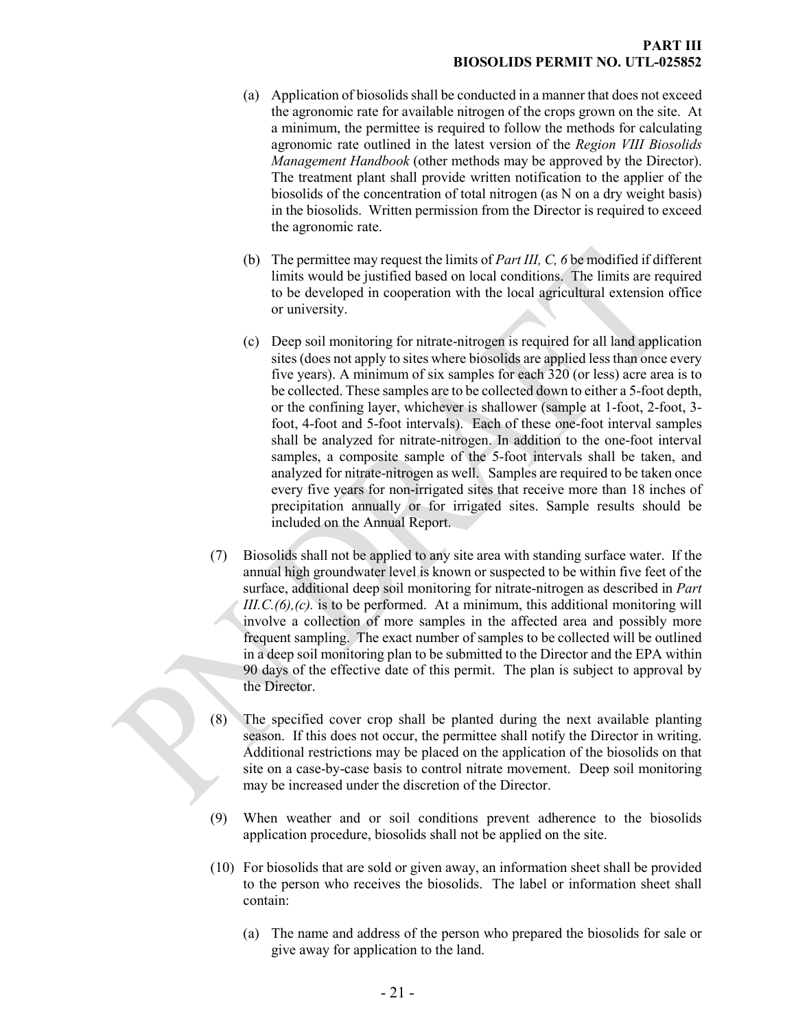- (a) Application of biosolids shall be conducted in a manner that does not exceed the agronomic rate for available nitrogen of the crops grown on the site. At a minimum, the permittee is required to follow the methods for calculating agronomic rate outlined in the latest version of the *Region VIII Biosolids Management Handbook* (other methods may be approved by the Director). The treatment plant shall provide written notification to the applier of the biosolids of the concentration of total nitrogen (as N on a dry weight basis) in the biosolids. Written permission from the Director is required to exceed the agronomic rate.
- (b) The permittee may request the limits of *Part III, C, 6* be modified if different limits would be justified based on local conditions. The limits are required to be developed in cooperation with the local agricultural extension office or university.
- (c) Deep soil monitoring for nitrate-nitrogen is required for all land application sites (does not apply to sites where biosolids are applied less than once every five years). A minimum of six samples for each 320 (or less) acre area is to be collected. These samples are to be collected down to either a 5-foot depth, or the confining layer, whichever is shallower (sample at 1-foot, 2-foot, 3 foot, 4-foot and 5-foot intervals). Each of these one-foot interval samples shall be analyzed for nitrate-nitrogen. In addition to the one-foot interval samples, a composite sample of the 5-foot intervals shall be taken, and analyzed for nitrate-nitrogen as well. Samples are required to be taken once every five years for non-irrigated sites that receive more than 18 inches of precipitation annually or for irrigated sites. Sample results should be included on the Annual Report.
- (7) Biosolids shall not be applied to any site area with standing surface water. If the annual high groundwater level is known or suspected to be within five feet of the surface, additional deep soil monitoring for nitrate-nitrogen as described in *Part III.C.(6),(c).* is to be performed. At a minimum, this additional monitoring will involve a collection of more samples in the affected area and possibly more frequent sampling. The exact number of samples to be collected will be outlined in a deep soil monitoring plan to be submitted to the Director and the EPA within 90 days of the effective date of this permit. The plan is subject to approval by the Director.
- (8) The specified cover crop shall be planted during the next available planting season. If this does not occur, the permittee shall notify the Director in writing. Additional restrictions may be placed on the application of the biosolids on that site on a case-by-case basis to control nitrate movement. Deep soil monitoring may be increased under the discretion of the Director.
- (9) When weather and or soil conditions prevent adherence to the biosolids application procedure, biosolids shall not be applied on the site.
- (10) For biosolids that are sold or given away, an information sheet shall be provided to the person who receives the biosolids. The label or information sheet shall contain:
	- (a) The name and address of the person who prepared the biosolids for sale or give away for application to the land.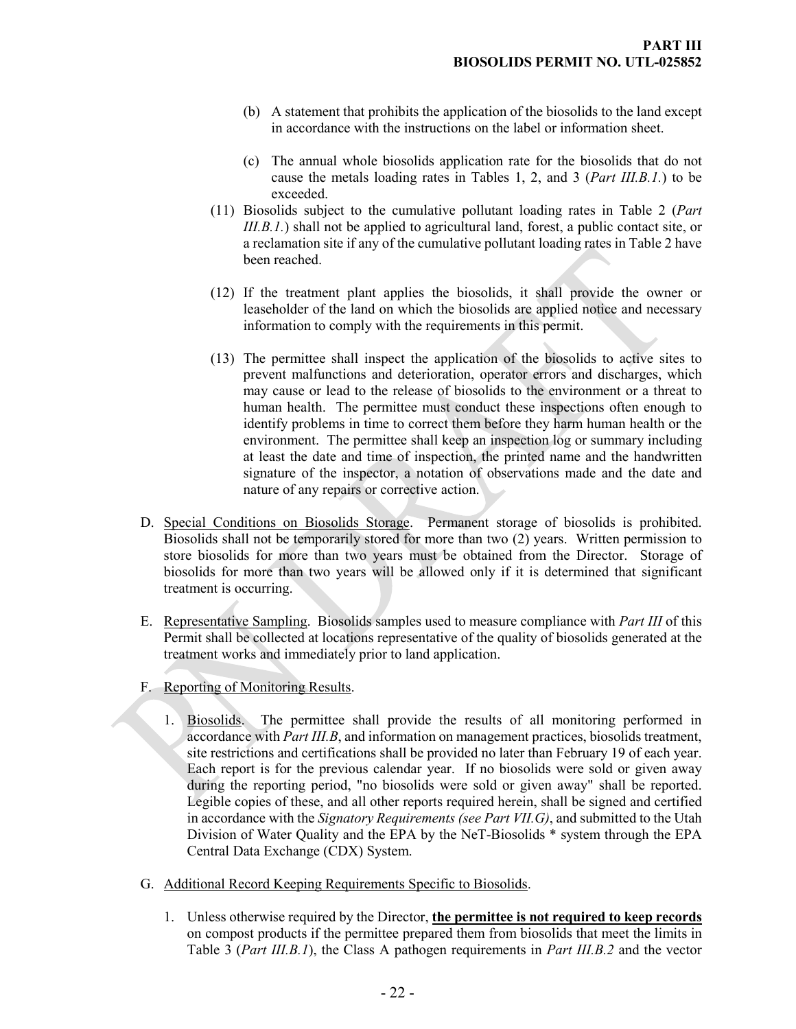- (b) A statement that prohibits the application of the biosolids to the land except in accordance with the instructions on the label or information sheet.
- (c) The annual whole biosolids application rate for the biosolids that do not cause the metals loading rates in Tables 1, 2, and 3 (*Part III.B.1.*) to be exceeded.
- (11) Biosolids subject to the cumulative pollutant loading rates in Table 2 (*Part III.B.1.*) shall not be applied to agricultural land, forest, a public contact site, or a reclamation site if any of the cumulative pollutant loading rates in Table 2 have been reached.
- (12) If the treatment plant applies the biosolids, it shall provide the owner or leaseholder of the land on which the biosolids are applied notice and necessary information to comply with the requirements in this permit.
- <span id="page-20-0"></span>(13) The permittee shall inspect the application of the biosolids to active sites to prevent malfunctions and deterioration, operator errors and discharges, which may cause or lead to the release of biosolids to the environment or a threat to human health. The permittee must conduct these inspections often enough to identify problems in time to correct them before they harm human health or the environment. The permittee shall keep an inspection log or summary including at least the date and time of inspection, the printed name and the handwritten signature of the inspector, a notation of observations made and the date and nature of any repairs or corrective action.
- D. Special Conditions on Biosolids Storage. Permanent storage of biosolids is prohibited. Biosolids shall not be temporarily stored for more than two (2) years. Written permission to store biosolids for more than two years must be obtained from the Director. Storage of biosolids for more than two years will be allowed only if it is determined that significant treatment is occurring.
- <span id="page-20-1"></span>E. Representative Sampling. Biosolids samples used to measure compliance with *Part III* of this Permit shall be collected at locations representative of the quality of biosolids generated at the treatment works and immediately prior to land application.
- <span id="page-20-2"></span>F. Reporting of Monitoring Results.
	- 1. Biosolids. The permittee shall provide the results of all monitoring performed in accordance with *Part III.B*, and information on management practices, biosolids treatment, site restrictions and certifications shall be provided no later than February 19 of each year. Each report is for the previous calendar year. If no biosolids were sold or given away during the reporting period, "no biosolids were sold or given away" shall be reported. Legible copies of these, and all other reports required herein, shall be signed and certified in accordance with the *Signatory Requirements (see Part VII.G)*, and submitted to the Utah Division of Water Quality and the EPA by the NeT-Biosolids \* system through the EPA Central Data Exchange (CDX) System.
- <span id="page-20-3"></span>G. Additional Record Keeping Requirements Specific to Biosolids.
	- 1. Unless otherwise required by the Director, **the permittee is not required to keep records** on compost products if the permittee prepared them from biosolids that meet the limits in Table 3 (*Part III.B.1*), the Class A pathogen requirements in *Part III.B.2* and the vector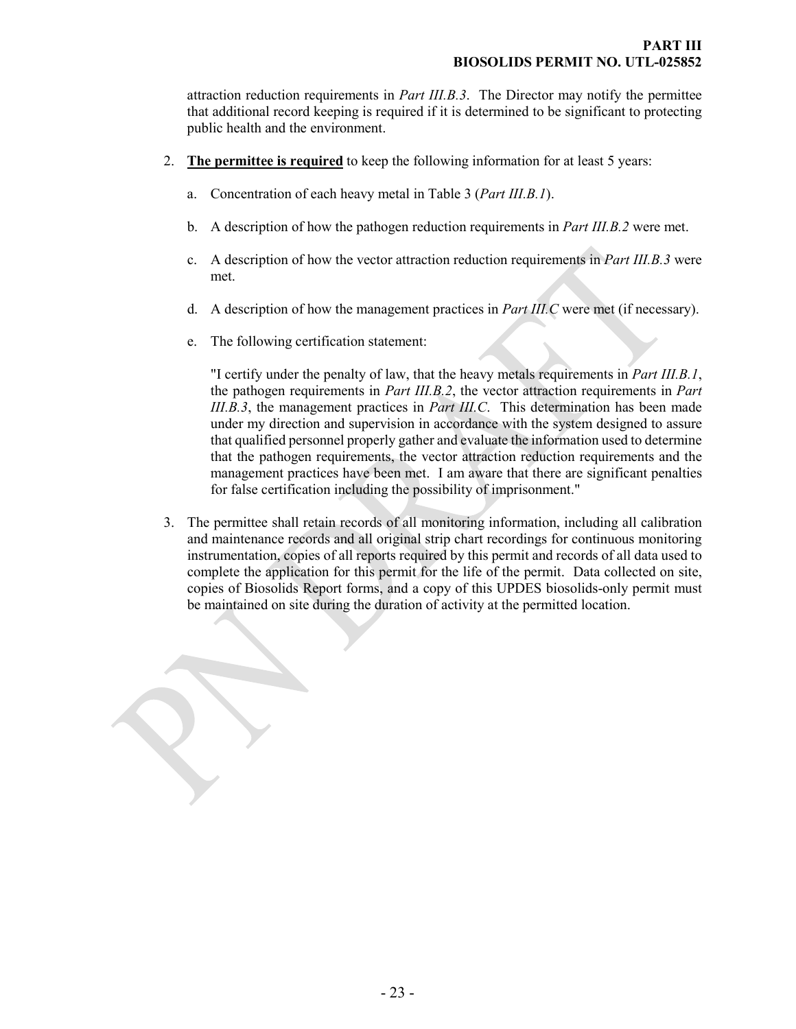attraction reduction requirements in *Part III.B.3*. The Director may notify the permittee that additional record keeping is required if it is determined to be significant to protecting public health and the environment.

- 2. **The permittee is required** to keep the following information for at least 5 years:
	- a. Concentration of each heavy metal in Table 3 (*Part III.B.1*).
	- b. A description of how the pathogen reduction requirements in *Part III.B.2* were met.
	- c. A description of how the vector attraction reduction requirements in *Part III.B.3* were met.
	- d. A description of how the management practices in *Part III.C* were met (if necessary).
	- e. The following certification statement:

"I certify under the penalty of law, that the heavy metals requirements in *Part III.B.1*, the pathogen requirements in *Part III.B.2*, the vector attraction requirements in *Part III.B.3*, the management practices in *Part III.C*. This determination has been made under my direction and supervision in accordance with the system designed to assure that qualified personnel properly gather and evaluate the information used to determine that the pathogen requirements, the vector attraction reduction requirements and the management practices have been met. I am aware that there are significant penalties for false certification including the possibility of imprisonment."

3. The permittee shall retain records of all monitoring information, including all calibration and maintenance records and all original strip chart recordings for continuous monitoring instrumentation, copies of all reports required by this permit and records of all data used to complete the application for this permit for the life of the permit. Data collected on site, copies of Biosolids Report forms, and a copy of this UPDES biosolids-only permit must be maintained on site during the duration of activity at the permitted location.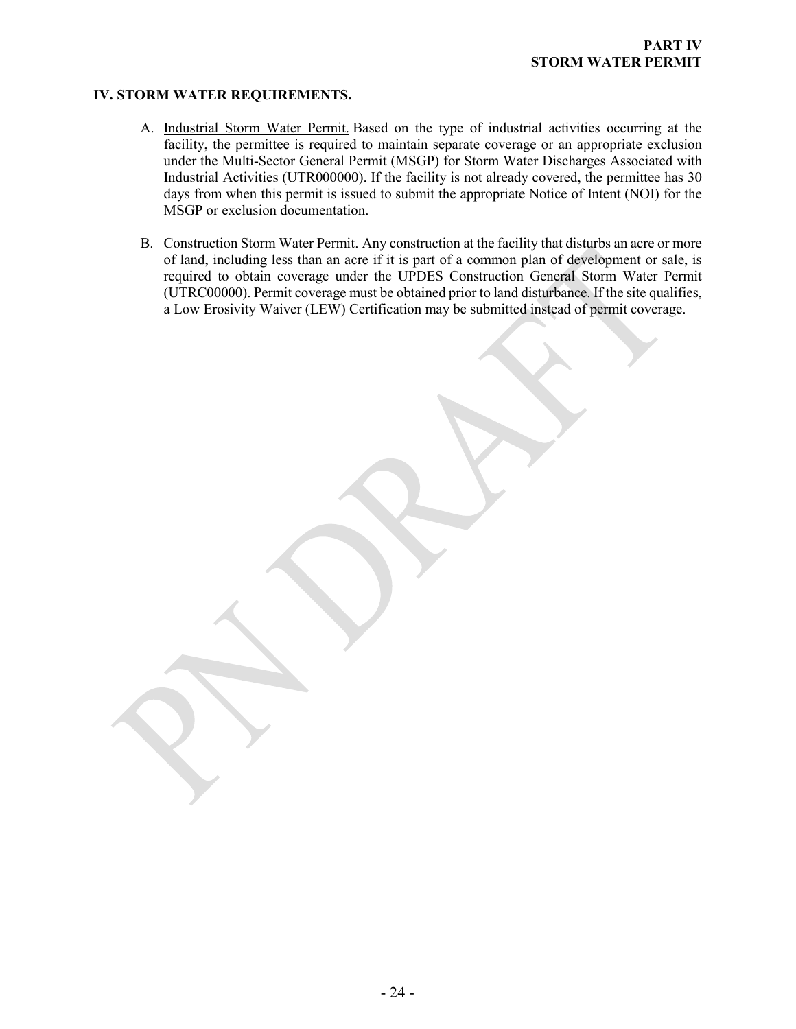### **IV. STORM WATER REQUIREMENTS.**

- <span id="page-22-0"></span>A. Industrial Storm Water Permit. Based on the type of industrial activities occurring at the facility, the permittee is required to maintain separate coverage or an appropriate exclusion under the Multi-Sector General Permit (MSGP) for Storm Water Discharges Associated with Industrial Activities (UTR000000). If the facility is not already covered, the permittee has 30 days from when this permit is issued to submit the appropriate Notice of Intent (NOI) for the MSGP or exclusion documentation.
- B. Construction Storm Water Permit. Any construction at the facility that disturbs an acre or more of land, including less than an acre if it is part of a common plan of development or sale, is required to obtain coverage under the UPDES Construction General Storm Water Permit (UTRC00000). Permit coverage must be obtained prior to land disturbance. If the site qualifies, a Low Erosivity Waiver (LEW) Certification may be submitted instead of permit coverage.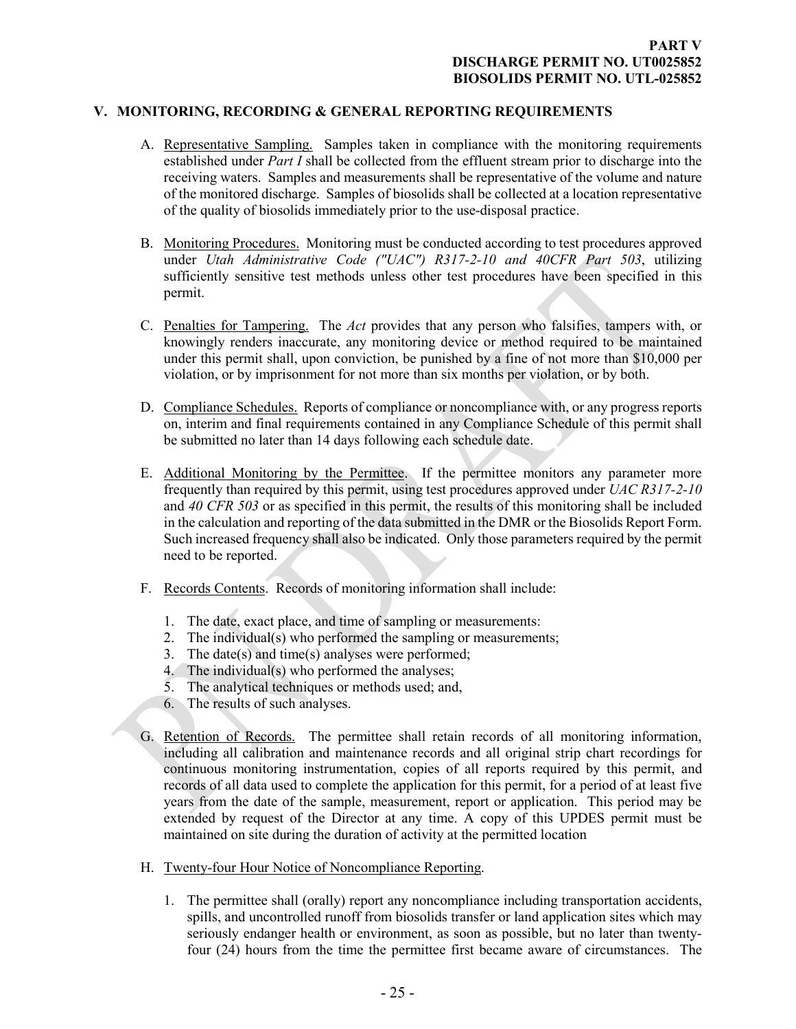### **V. MONITORING, RECORDING & GENERAL REPORTING REQUIREMENTS**

- <span id="page-23-1"></span><span id="page-23-0"></span>A. Representative Sampling. Samples taken in compliance with the monitoring requirements established under *Part I* shall be collected from the effluent stream prior to discharge into the receiving waters. Samples and measurements shall be representative of the volume and nature of the monitored discharge. Samples of biosolids shall be collected at a location representative of the quality of biosolids immediately prior to the use-disposal practice.
- <span id="page-23-2"></span>B. Monitoring Procedures. Monitoring must be conducted according to test procedures approved under *Utah Administrative Code ("UAC") R317-2-10 and 40CFR Part 503*, utilizing sufficiently sensitive test methods unless other test procedures have been specified in this permit.
- <span id="page-23-3"></span>C. Penalties for Tampering. The *Act* provides that any person who falsifies, tampers with, or knowingly renders inaccurate, any monitoring device or method required to be maintained under this permit shall, upon conviction, be punished by a fine of not more than \$10,000 per violation, or by imprisonment for not more than six months per violation, or by both.
- <span id="page-23-4"></span>D. Compliance Schedules. Reports of compliance or noncompliance with, or any progress reports on, interim and final requirements contained in any Compliance Schedule of this permit shall be submitted no later than 14 days following each schedule date.
- <span id="page-23-5"></span>E. Additional Monitoring by the Permittee. If the permittee monitors any parameter more frequently than required by this permit, using test procedures approved under *UAC R317-2-10*  and *40 CFR 503* or as specified in this permit, the results of this monitoring shall be included in the calculation and reporting of the data submitted in the DMR or the Biosolids Report Form. Such increased frequency shall also be indicated. Only those parameters required by the permit need to be reported.
- <span id="page-23-6"></span>F. Records Contents. Records of monitoring information shall include:
	- 1. The date, exact place, and time of sampling or measurements:
	- 2. The individual(s) who performed the sampling or measurements;
	- 3. The date(s) and time(s) analyses were performed;
	- 4. The individual(s) who performed the analyses;
	- 5. The analytical techniques or methods used; and,
	- 6. The results of such analyses.
- <span id="page-23-7"></span>G. Retention of Records. The permittee shall retain records of all monitoring information, including all calibration and maintenance records and all original strip chart recordings for continuous monitoring instrumentation, copies of all reports required by this permit, and records of all data used to complete the application for this permit, for a period of at least five years from the date of the sample, measurement, report or application. This period may be extended by request of the Director at any time. A copy of this UPDES permit must be maintained on site during the duration of activity at the permitted location
- <span id="page-23-8"></span>H. Twenty-four Hour Notice of Noncompliance Reporting.
	- 1. The permittee shall (orally) report any noncompliance including transportation accidents, spills, and uncontrolled runoff from biosolids transfer or land application sites which may seriously endanger health or environment, as soon as possible, but no later than twentyfour (24) hours from the time the permittee first became aware of circumstances. The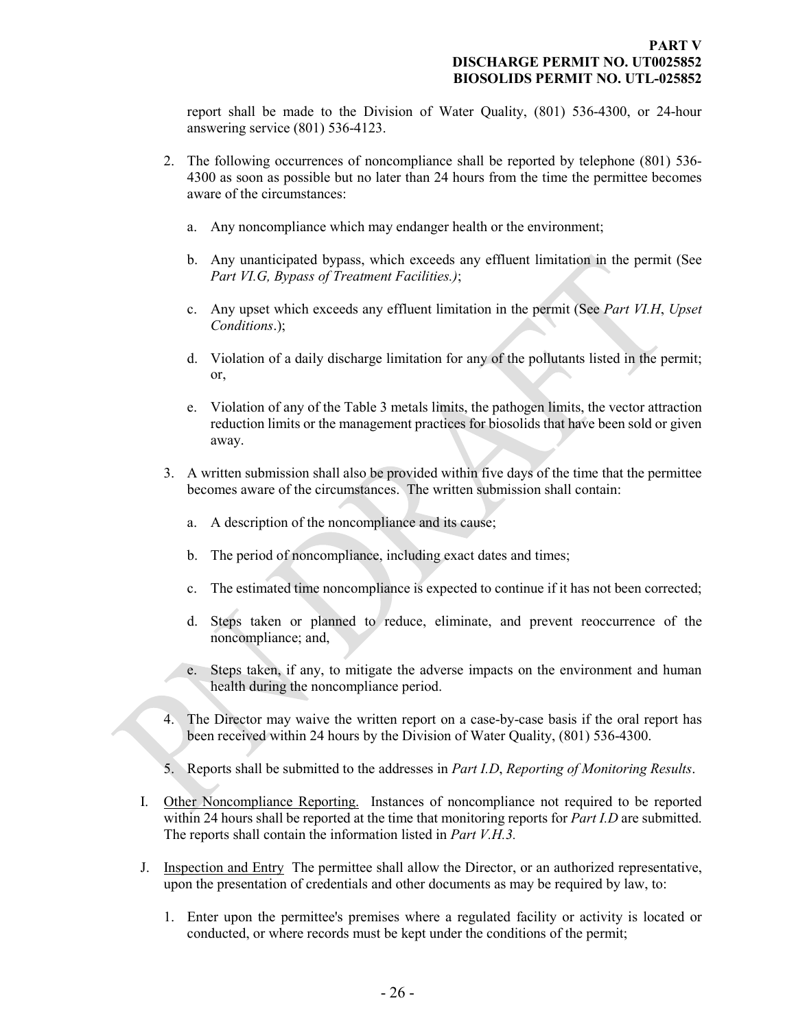report shall be made to the Division of Water Quality, (801) 536-4300, or 24-hour answering service (801) 536-4123.

- 2. The following occurrences of noncompliance shall be reported by telephone (801) 536- 4300 as soon as possible but no later than 24 hours from the time the permittee becomes aware of the circumstances:
	- a. Any noncompliance which may endanger health or the environment;
	- b. Any unanticipated bypass, which exceeds any effluent limitation in the permit (See *Part VI.G, Bypass of Treatment Facilities.)*;
	- c. Any upset which exceeds any effluent limitation in the permit (See *Part VI.H*, *Upset Conditions*.);
	- d. Violation of a daily discharge limitation for any of the pollutants listed in the permit; or,
	- e. Violation of any of the Table 3 metals limits, the pathogen limits, the vector attraction reduction limits or the management practices for biosolids that have been sold or given away.
- 3. A written submission shall also be provided within five days of the time that the permittee becomes aware of the circumstances. The written submission shall contain:
	- a. A description of the noncompliance and its cause;
	- b. The period of noncompliance, including exact dates and times;
	- c. The estimated time noncompliance is expected to continue if it has not been corrected;
	- d. Steps taken or planned to reduce, eliminate, and prevent reoccurrence of the noncompliance; and,
	- e. Steps taken, if any, to mitigate the adverse impacts on the environment and human health during the noncompliance period.
- 4. The Director may waive the written report on a case-by-case basis if the oral report has been received within 24 hours by the Division of Water Quality, (801) 536-4300.
- <span id="page-24-0"></span>5. Reports shall be submitted to the addresses in *Part I.D*, *Reporting of Monitoring Results*.
- I. Other Noncompliance Reporting. Instances of noncompliance not required to be reported within 24 hours shall be reported at the time that monitoring reports for *Part I.D* are submitted. The reports shall contain the information listed in *Part V.H.3.*
- <span id="page-24-1"></span>J. Inspection and Entry The permittee shall allow the Director, or an authorized representative, upon the presentation of credentials and other documents as may be required by law, to:
	- 1. Enter upon the permittee's premises where a regulated facility or activity is located or conducted, or where records must be kept under the conditions of the permit;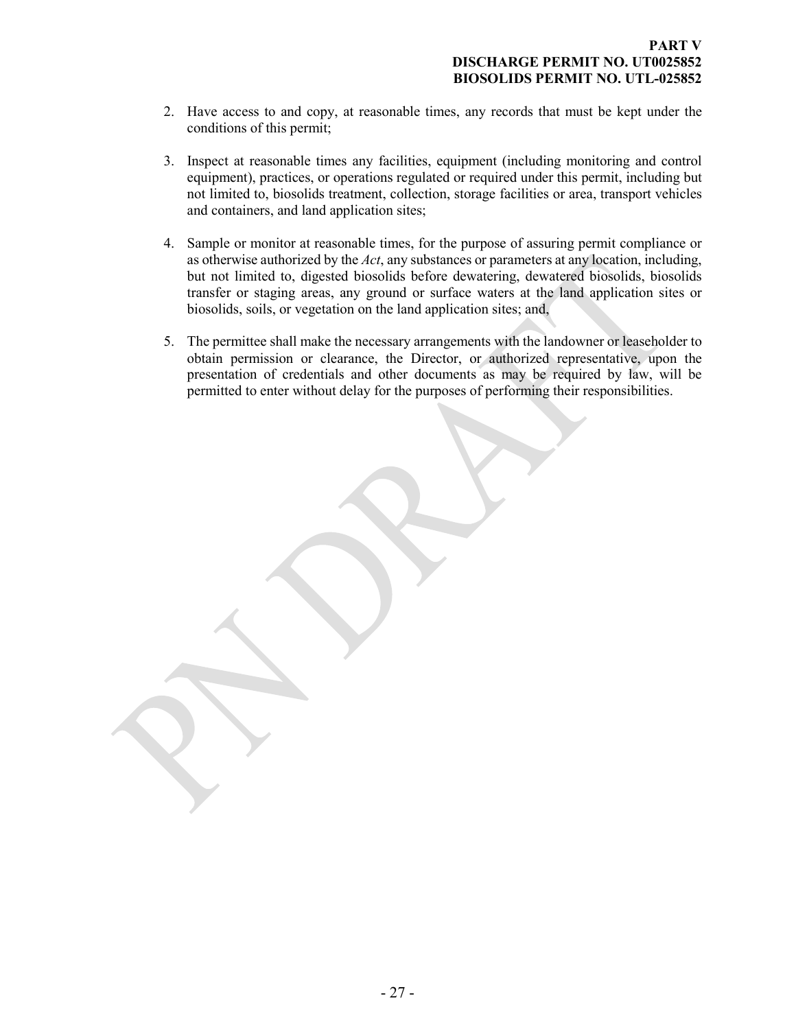- 2. Have access to and copy, at reasonable times, any records that must be kept under the conditions of this permit;
- 3. Inspect at reasonable times any facilities, equipment (including monitoring and control equipment), practices, or operations regulated or required under this permit, including but not limited to, biosolids treatment, collection, storage facilities or area, transport vehicles and containers, and land application sites;
- 4. Sample or monitor at reasonable times, for the purpose of assuring permit compliance or as otherwise authorized by the *Act*, any substances or parameters at any location, including, but not limited to, digested biosolids before dewatering, dewatered biosolids, biosolids transfer or staging areas, any ground or surface waters at the land application sites or biosolids, soils, or vegetation on the land application sites; and,
- 5. The permittee shall make the necessary arrangements with the landowner or leaseholder to obtain permission or clearance, the Director, or authorized representative, upon the presentation of credentials and other documents as may be required by law, will be permitted to enter without delay for the purposes of performing their responsibilities.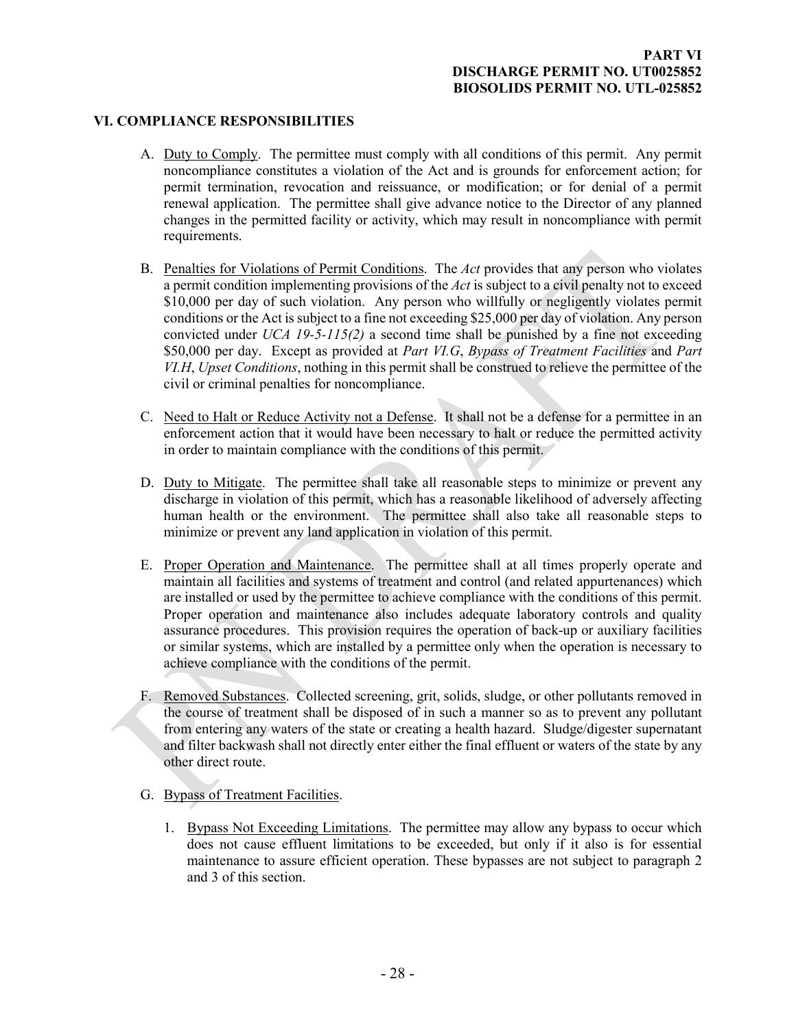# **VI. COMPLIANCE RESPONSIBILITIES**

- <span id="page-26-1"></span><span id="page-26-0"></span>A. Duty to Comply. The permittee must comply with all conditions of this permit. Any permit noncompliance constitutes a violation of the Act and is grounds for enforcement action; for permit termination, revocation and reissuance, or modification; or for denial of a permit renewal application. The permittee shall give advance notice to the Director of any planned changes in the permitted facility or activity, which may result in noncompliance with permit requirements.
- <span id="page-26-2"></span>B. Penalties for Violations of Permit Conditions. The *Act* provides that any person who violates a permit condition implementing provisions of the *Act* is subject to a civil penalty not to exceed \$10,000 per day of such violation. Any person who willfully or negligently violates permit conditions or the Act is subject to a fine not exceeding \$25,000 per day of violation. Any person convicted under *UCA 19-5-115(2)* a second time shall be punished by a fine not exceeding \$50,000 per day. Except as provided at *Part VI.G*, *Bypass of Treatment Facilities* and *Part VI.H*, *Upset Conditions*, nothing in this permit shall be construed to relieve the permittee of the civil or criminal penalties for noncompliance.
- <span id="page-26-3"></span>C. Need to Halt or Reduce Activity not a Defense. It shall not be a defense for a permittee in an enforcement action that it would have been necessary to halt or reduce the permitted activity in order to maintain compliance with the conditions of this permit.
- <span id="page-26-4"></span>D. Duty to Mitigate. The permittee shall take all reasonable steps to minimize or prevent any discharge in violation of this permit, which has a reasonable likelihood of adversely affecting human health or the environment. The permittee shall also take all reasonable steps to minimize or prevent any land application in violation of this permit.
- <span id="page-26-5"></span>E. Proper Operation and Maintenance. The permittee shall at all times properly operate and maintain all facilities and systems of treatment and control (and related appurtenances) which are installed or used by the permittee to achieve compliance with the conditions of this permit. Proper operation and maintenance also includes adequate laboratory controls and quality assurance procedures. This provision requires the operation of back-up or auxiliary facilities or similar systems, which are installed by a permittee only when the operation is necessary to achieve compliance with the conditions of the permit.
- <span id="page-26-6"></span>F. Removed Substances. Collected screening, grit, solids, sludge, or other pollutants removed in the course of treatment shall be disposed of in such a manner so as to prevent any pollutant from entering any waters of the state or creating a health hazard. Sludge/digester supernatant and filter backwash shall not directly enter either the final effluent or waters of the state by any other direct route.
- <span id="page-26-7"></span>G. Bypass of Treatment Facilities.
	- 1. Bypass Not Exceeding Limitations. The permittee may allow any bypass to occur which does not cause effluent limitations to be exceeded, but only if it also is for essential maintenance to assure efficient operation. These bypasses are not subject to paragraph 2 and 3 of this section.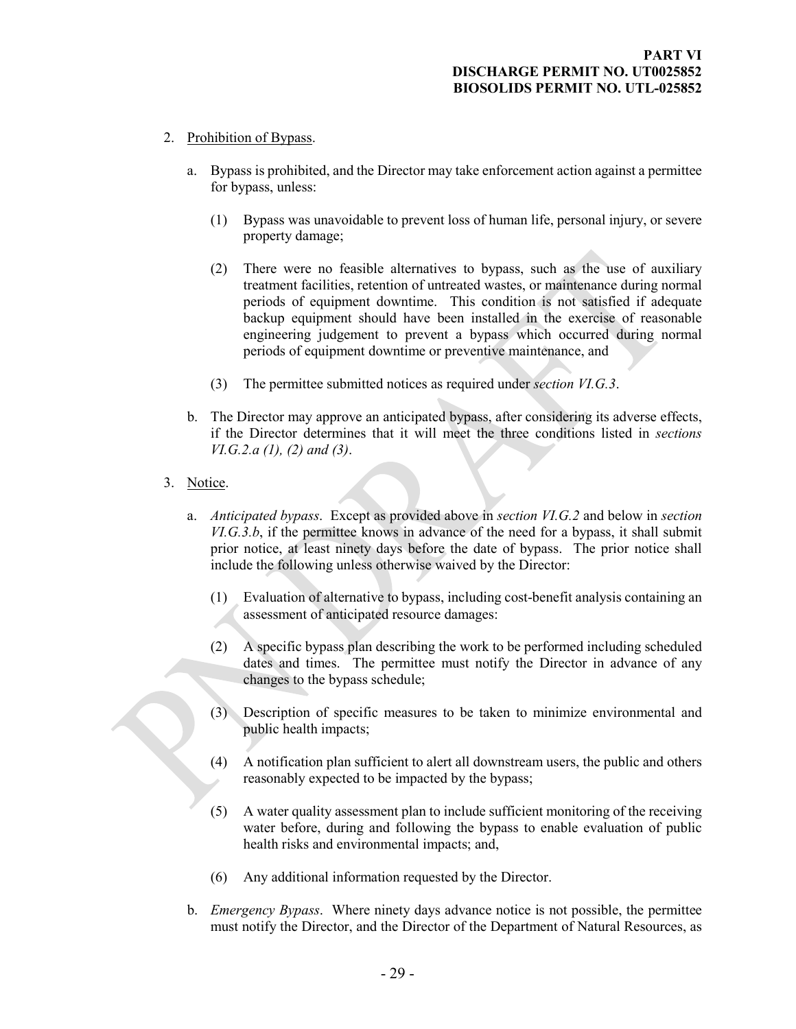- 2. Prohibition of Bypass.
	- a. Bypass is prohibited, and the Director may take enforcement action against a permittee for bypass, unless:
		- (1) Bypass was unavoidable to prevent loss of human life, personal injury, or severe property damage;
		- (2) There were no feasible alternatives to bypass, such as the use of auxiliary treatment facilities, retention of untreated wastes, or maintenance during normal periods of equipment downtime. This condition is not satisfied if adequate backup equipment should have been installed in the exercise of reasonable engineering judgement to prevent a bypass which occurred during normal periods of equipment downtime or preventive maintenance, and
		- (3) The permittee submitted notices as required under *section VI.G.3*.
	- b. The Director may approve an anticipated bypass, after considering its adverse effects, if the Director determines that it will meet the three conditions listed in *sections VI.G.2.a (1), (2) and (3)*.
- 3. Notice.
	- a. *Anticipated bypass*. Except as provided above in *section VI.G.2* and below in *section VI.G.3.b*, if the permittee knows in advance of the need for a bypass, it shall submit prior notice, at least ninety days before the date of bypass. The prior notice shall include the following unless otherwise waived by the Director:
		- (1) Evaluation of alternative to bypass, including cost-benefit analysis containing an assessment of anticipated resource damages:
		- (2) A specific bypass plan describing the work to be performed including scheduled dates and times. The permittee must notify the Director in advance of any changes to the bypass schedule;
		- (3) Description of specific measures to be taken to minimize environmental and public health impacts;
		- (4) A notification plan sufficient to alert all downstream users, the public and others reasonably expected to be impacted by the bypass;
		- (5) A water quality assessment plan to include sufficient monitoring of the receiving water before, during and following the bypass to enable evaluation of public health risks and environmental impacts; and,
		- (6) Any additional information requested by the Director.
	- b. *Emergency Bypass*. Where ninety days advance notice is not possible, the permittee must notify the Director, and the Director of the Department of Natural Resources, as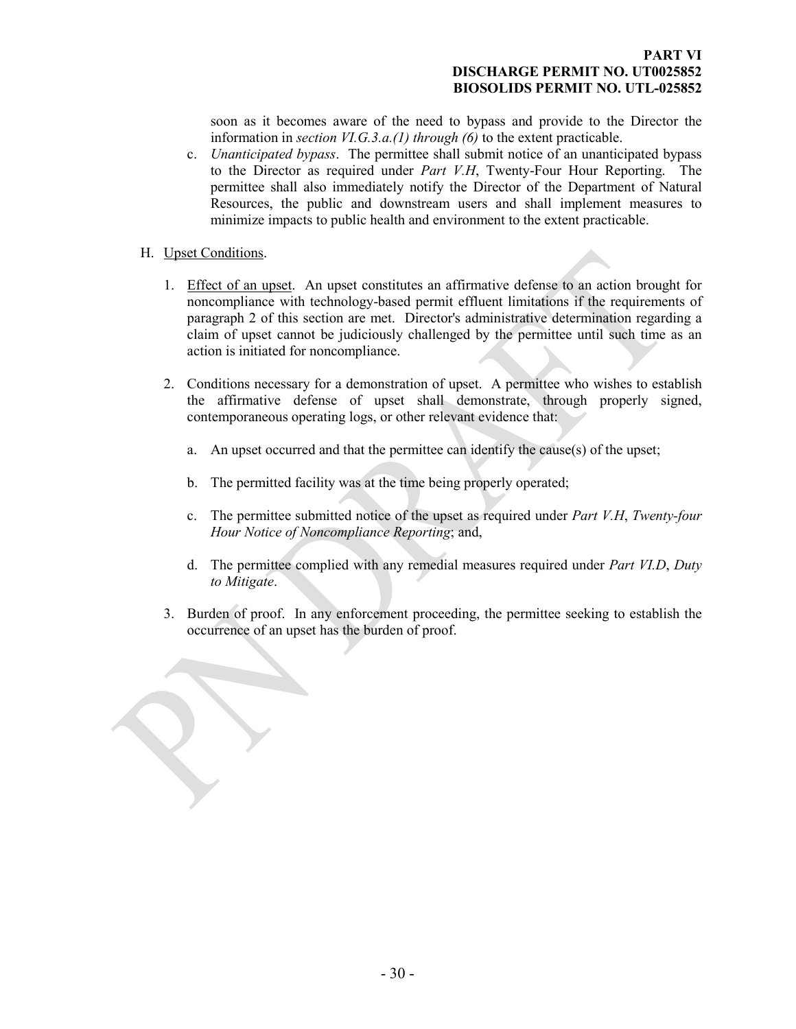#### **PART VI DISCHARGE PERMIT NO. UT0025852 BIOSOLIDS PERMIT NO. UTL-025852**

soon as it becomes aware of the need to bypass and provide to the Director the information in *section VI.G.3.a.(1) through (6)* to the extent practicable.

- c. *Unanticipated bypass*. The permittee shall submit notice of an unanticipated bypass to the Director as required under *Part V.H*, Twenty-Four Hour Reporting. The permittee shall also immediately notify the Director of the Department of Natural Resources, the public and downstream users and shall implement measures to minimize impacts to public health and environment to the extent practicable.
- <span id="page-28-0"></span>H. Upset Conditions.
	- 1. Effect of an upset. An upset constitutes an affirmative defense to an action brought for noncompliance with technology-based permit effluent limitations if the requirements of paragraph 2 of this section are met. Director's administrative determination regarding a claim of upset cannot be judiciously challenged by the permittee until such time as an action is initiated for noncompliance.
	- 2. Conditions necessary for a demonstration of upset. A permittee who wishes to establish the affirmative defense of upset shall demonstrate, through properly signed, contemporaneous operating logs, or other relevant evidence that:
		- a. An upset occurred and that the permittee can identify the cause(s) of the upset;
		- b. The permitted facility was at the time being properly operated;
		- c. The permittee submitted notice of the upset as required under *Part V.H*, *Twenty-four Hour Notice of Noncompliance Reporting*; and,
		- d. The permittee complied with any remedial measures required under *Part VI.D*, *Duty to Mitigate*.
	- 3. Burden of proof. In any enforcement proceeding, the permittee seeking to establish the occurrence of an upset has the burden of proof.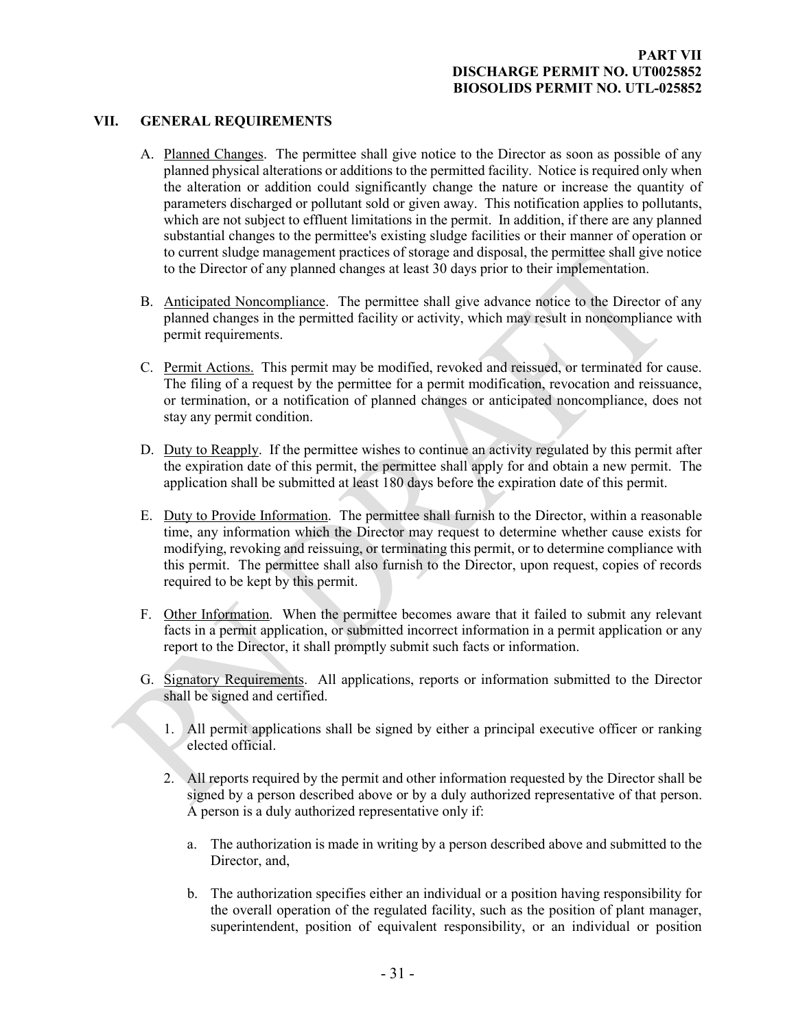# **VII. GENERAL REQUIREMENTS**

- <span id="page-29-1"></span><span id="page-29-0"></span>A. Planned Changes. The permittee shall give notice to the Director as soon as possible of any planned physical alterations or additions to the permitted facility. Notice is required only when the alteration or addition could significantly change the nature or increase the quantity of parameters discharged or pollutant sold or given away. This notification applies to pollutants, which are not subject to effluent limitations in the permit. In addition, if there are any planned substantial changes to the permittee's existing sludge facilities or their manner of operation or to current sludge management practices of storage and disposal, the permittee shall give notice to the Director of any planned changes at least 30 days prior to their implementation.
- <span id="page-29-2"></span>B. Anticipated Noncompliance. The permittee shall give advance notice to the Director of any planned changes in the permitted facility or activity, which may result in noncompliance with permit requirements.
- <span id="page-29-3"></span>C. Permit Actions. This permit may be modified, revoked and reissued, or terminated for cause. The filing of a request by the permittee for a permit modification, revocation and reissuance, or termination, or a notification of planned changes or anticipated noncompliance, does not stay any permit condition.
- <span id="page-29-4"></span>D. Duty to Reapply. If the permittee wishes to continue an activity regulated by this permit after the expiration date of this permit, the permittee shall apply for and obtain a new permit. The application shall be submitted at least 180 days before the expiration date of this permit.
- <span id="page-29-5"></span>E. Duty to Provide Information. The permittee shall furnish to the Director, within a reasonable time, any information which the Director may request to determine whether cause exists for modifying, revoking and reissuing, or terminating this permit, or to determine compliance with this permit. The permittee shall also furnish to the Director, upon request, copies of records required to be kept by this permit.
- <span id="page-29-6"></span>F. Other Information. When the permittee becomes aware that it failed to submit any relevant facts in a permit application, or submitted incorrect information in a permit application or any report to the Director, it shall promptly submit such facts or information.
- <span id="page-29-7"></span>G. Signatory Requirements. All applications, reports or information submitted to the Director shall be signed and certified.
	- 1. All permit applications shall be signed by either a principal executive officer or ranking elected official.
	- 2. All reports required by the permit and other information requested by the Director shall be signed by a person described above or by a duly authorized representative of that person. A person is a duly authorized representative only if:
		- a. The authorization is made in writing by a person described above and submitted to the Director, and,
		- b. The authorization specifies either an individual or a position having responsibility for the overall operation of the regulated facility, such as the position of plant manager, superintendent, position of equivalent responsibility, or an individual or position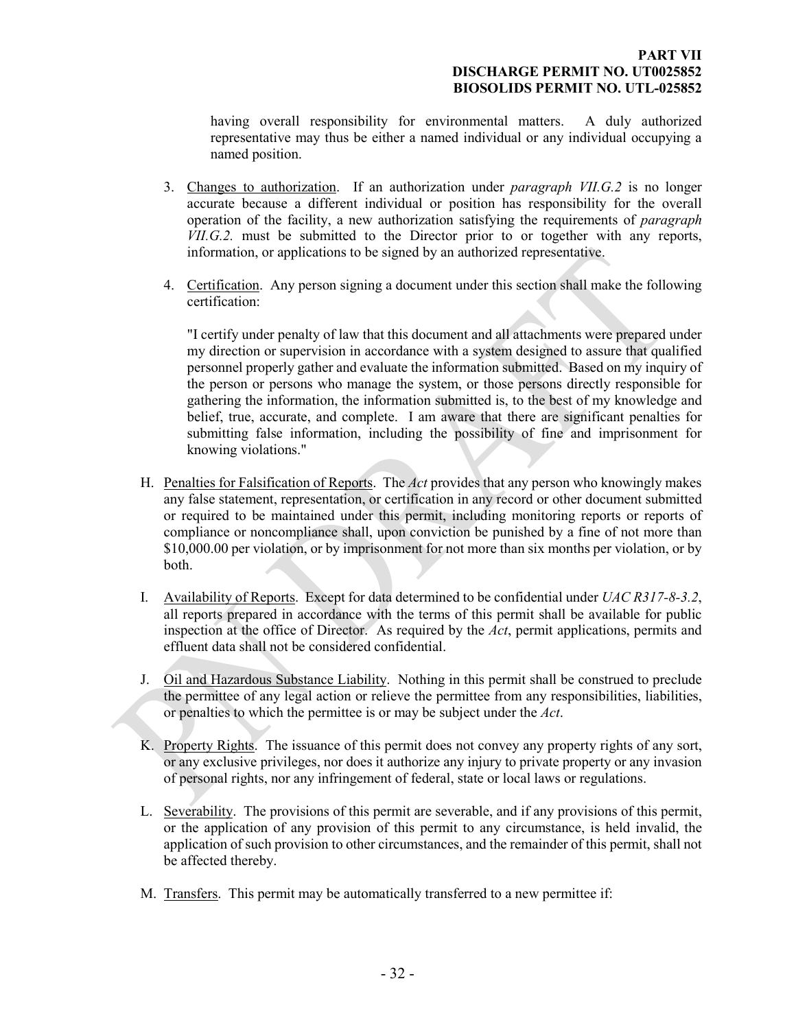having overall responsibility for environmental matters. A duly authorized representative may thus be either a named individual or any individual occupying a named position.

- 3. Changes to authorization. If an authorization under *paragraph VII.G.2* is no longer accurate because a different individual or position has responsibility for the overall operation of the facility, a new authorization satisfying the requirements of *paragraph VII.G.2.* must be submitted to the Director prior to or together with any reports, information, or applications to be signed by an authorized representative.
- 4. Certification. Any person signing a document under this section shall make the following certification:

"I certify under penalty of law that this document and all attachments were prepared under my direction or supervision in accordance with a system designed to assure that qualified personnel properly gather and evaluate the information submitted. Based on my inquiry of the person or persons who manage the system, or those persons directly responsible for gathering the information, the information submitted is, to the best of my knowledge and belief, true, accurate, and complete. I am aware that there are significant penalties for submitting false information, including the possibility of fine and imprisonment for knowing violations."

- <span id="page-30-0"></span>H. Penalties for Falsification of Reports. The *Act* provides that any person who knowingly makes any false statement, representation, or certification in any record or other document submitted or required to be maintained under this permit, including monitoring reports or reports of compliance or noncompliance shall, upon conviction be punished by a fine of not more than \$10,000.00 per violation, or by imprisonment for not more than six months per violation, or by both.
- <span id="page-30-1"></span>I. Availability of Reports. Except for data determined to be confidential under *UAC R317-8-3.2*, all reports prepared in accordance with the terms of this permit shall be available for public inspection at the office of Director. As required by the *Act*, permit applications, permits and effluent data shall not be considered confidential.
- <span id="page-30-2"></span>J. Oil and Hazardous Substance Liability. Nothing in this permit shall be construed to preclude the permittee of any legal action or relieve the permittee from any responsibilities, liabilities, or penalties to which the permittee is or may be subject under the *Act*.
- <span id="page-30-3"></span>K. Property Rights. The issuance of this permit does not convey any property rights of any sort, or any exclusive privileges, nor does it authorize any injury to private property or any invasion of personal rights, nor any infringement of federal, state or local laws or regulations.
- <span id="page-30-4"></span>L. Severability. The provisions of this permit are severable, and if any provisions of this permit, or the application of any provision of this permit to any circumstance, is held invalid, the application of such provision to other circumstances, and the remainder of this permit, shall not be affected thereby.
- <span id="page-30-5"></span>M. Transfers. This permit may be automatically transferred to a new permittee if: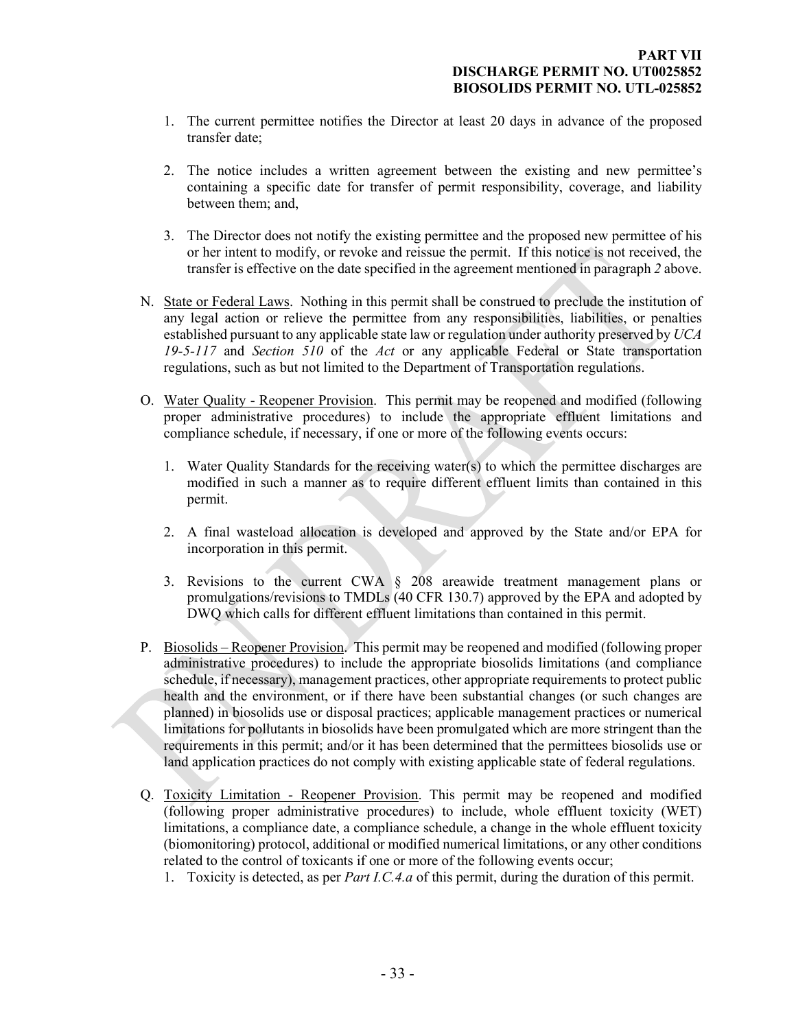- 1. The current permittee notifies the Director at least 20 days in advance of the proposed transfer date;
- 2. The notice includes a written agreement between the existing and new permittee's containing a specific date for transfer of permit responsibility, coverage, and liability between them; and,
- <span id="page-31-0"></span>3. The Director does not notify the existing permittee and the proposed new permittee of his or her intent to modify, or revoke and reissue the permit. If this notice is not received, the transfer is effective on the date specified in the agreement mentioned in paragraph *2* above.
- N. State or Federal Laws. Nothing in this permit shall be construed to preclude the institution of any legal action or relieve the permittee from any responsibilities, liabilities, or penalties established pursuant to any applicable state law or regulation under authority preserved by *UCA 19-5-117* and *Section 510* of the *Act* or any applicable Federal or State transportation regulations, such as but not limited to the Department of Transportation regulations.
- <span id="page-31-1"></span>O. Water Quality - Reopener Provision. This permit may be reopened and modified (following proper administrative procedures) to include the appropriate effluent limitations and compliance schedule, if necessary, if one or more of the following events occurs:
	- 1. Water Quality Standards for the receiving water(s) to which the permittee discharges are modified in such a manner as to require different effluent limits than contained in this permit.
	- 2. A final wasteload allocation is developed and approved by the State and/or EPA for incorporation in this permit.
	- 3. Revisions to the current CWA § 208 areawide treatment management plans or promulgations/revisions to TMDLs (40 CFR 130.7) approved by the EPA and adopted by DWQ which calls for different effluent limitations than contained in this permit.
- <span id="page-31-2"></span>P. Biosolids – Reopener Provision. This permit may be reopened and modified (following proper administrative procedures) to include the appropriate biosolids limitations (and compliance schedule, if necessary), management practices, other appropriate requirements to protect public health and the environment, or if there have been substantial changes (or such changes are planned) in biosolids use or disposal practices; applicable management practices or numerical limitations for pollutants in biosolids have been promulgated which are more stringent than the requirements in this permit; and/or it has been determined that the permittees biosolids use or land application practices do not comply with existing applicable state of federal regulations.
- <span id="page-31-3"></span>Q. Toxicity Limitation - Reopener Provision. This permit may be reopened and modified (following proper administrative procedures) to include, whole effluent toxicity (WET) limitations, a compliance date, a compliance schedule, a change in the whole effluent toxicity (biomonitoring) protocol, additional or modified numerical limitations, or any other conditions related to the control of toxicants if one or more of the following events occur;
	- 1. Toxicity is detected, as per *Part I.C.4.a* of this permit, during the duration of this permit.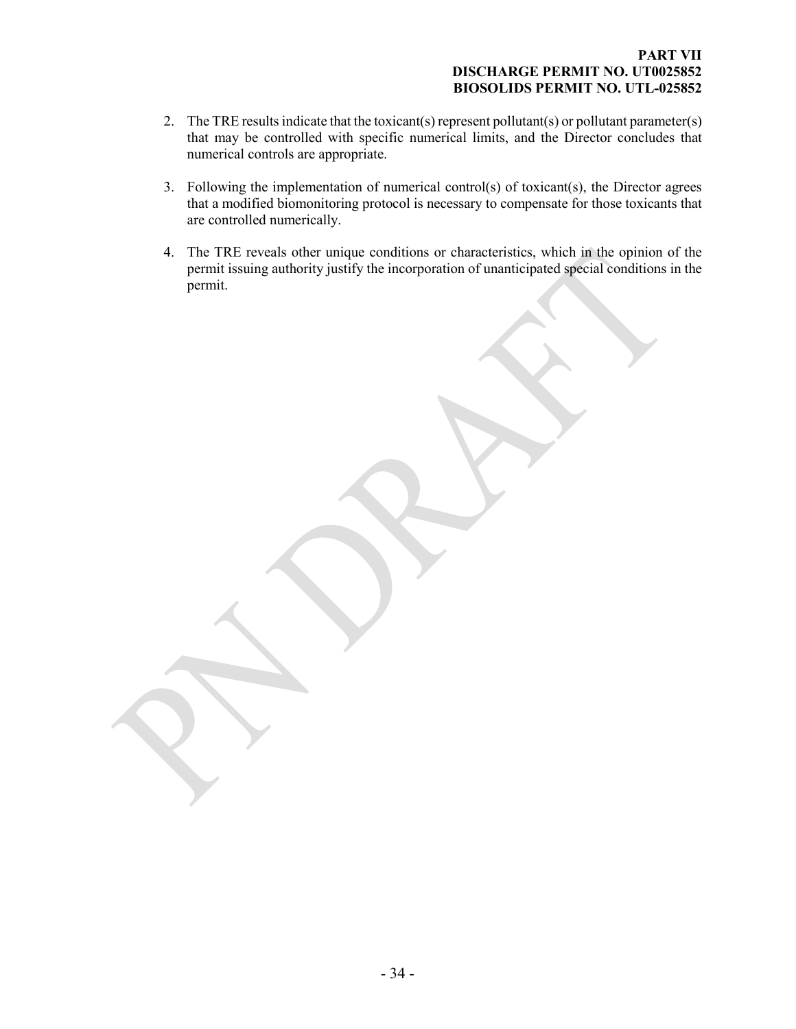#### **PART VII DISCHARGE PERMIT NO. UT0025852 BIOSOLIDS PERMIT NO. UTL-025852**

- 2. The TRE results indicate that the toxicant(s) represent pollutant(s) or pollutant parameter(s) that may be controlled with specific numerical limits, and the Director concludes that numerical controls are appropriate.
- 3. Following the implementation of numerical control(s) of toxicant(s), the Director agrees that a modified biomonitoring protocol is necessary to compensate for those toxicants that are controlled numerically.
- 4. The TRE reveals other unique conditions or characteristics, which in the opinion of the permit issuing authority justify the incorporation of unanticipated special conditions in the permit.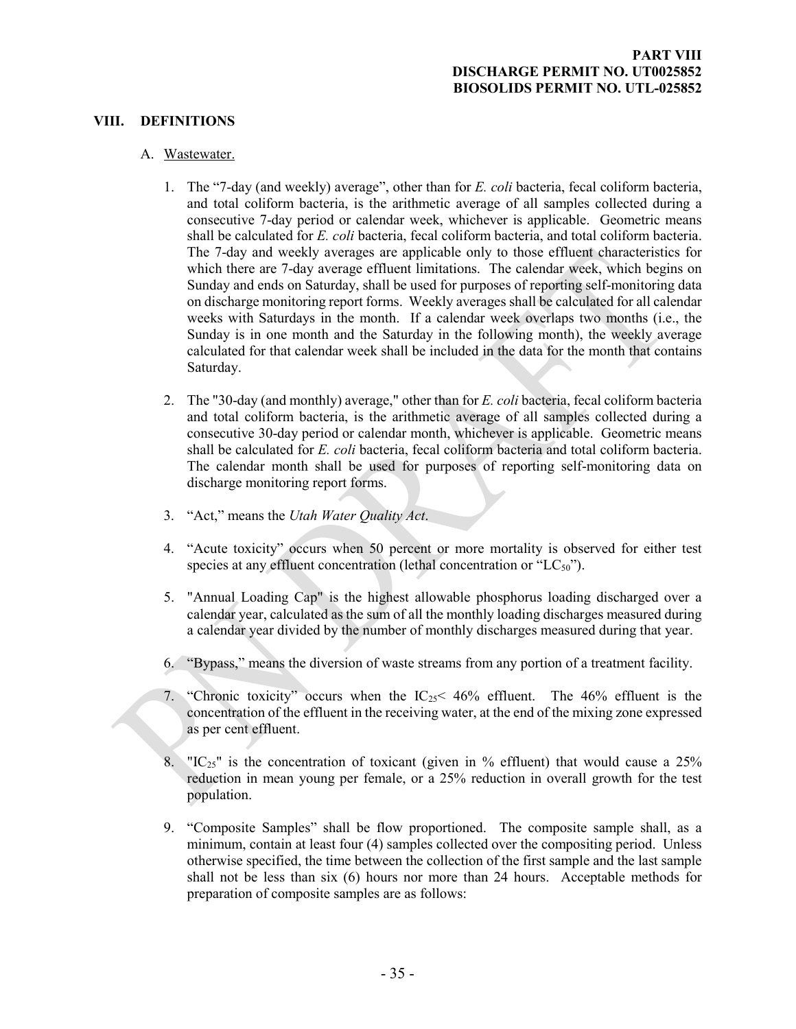### **VIII. DEFINITIONS**

#### A. Wastewater.

- <span id="page-33-1"></span><span id="page-33-0"></span>1. The "7-day (and weekly) average", other than for *E. coli* bacteria, fecal coliform bacteria, and total coliform bacteria, is the arithmetic average of all samples collected during a consecutive 7-day period or calendar week, whichever is applicable. Geometric means shall be calculated for *E. coli* bacteria, fecal coliform bacteria, and total coliform bacteria. The 7-day and weekly averages are applicable only to those effluent characteristics for which there are 7-day average effluent limitations. The calendar week, which begins on Sunday and ends on Saturday, shall be used for purposes of reporting self-monitoring data on discharge monitoring report forms. Weekly averages shall be calculated for all calendar weeks with Saturdays in the month. If a calendar week overlaps two months (i.e., the Sunday is in one month and the Saturday in the following month), the weekly average calculated for that calendar week shall be included in the data for the month that contains Saturday.
- 2. The "30-day (and monthly) average," other than for *E. coli* bacteria, fecal coliform bacteria and total coliform bacteria, is the arithmetic average of all samples collected during a consecutive 30-day period or calendar month, whichever is applicable. Geometric means shall be calculated for *E. coli* bacteria, fecal coliform bacteria and total coliform bacteria. The calendar month shall be used for purposes of reporting self-monitoring data on discharge monitoring report forms.
- 3. "Act," means the *Utah Water Quality Act*.
- 4. "Acute toxicity" occurs when 50 percent or more mortality is observed for either test species at any effluent concentration (lethal concentration or " $LC_{50}$ ").
- 5. "Annual Loading Cap" is the highest allowable phosphorus loading discharged over a calendar year, calculated as the sum of all the monthly loading discharges measured during a calendar year divided by the number of monthly discharges measured during that year.
- 6. "Bypass," means the diversion of waste streams from any portion of a treatment facility.
- 7. "Chronic toxicity" occurs when the  $IC_{25}$ < 46% effluent. The 46% effluent is the concentration of the effluent in the receiving water, at the end of the mixing zone expressed as per cent effluent.
- 8. " $IC_{25}$ " is the concentration of toxicant (given in % effluent) that would cause a 25% reduction in mean young per female, or a 25% reduction in overall growth for the test population.
- 9. "Composite Samples" shall be flow proportioned. The composite sample shall, as a minimum, contain at least four (4) samples collected over the compositing period. Unless otherwise specified, the time between the collection of the first sample and the last sample shall not be less than six (6) hours nor more than 24 hours. Acceptable methods for preparation of composite samples are as follows: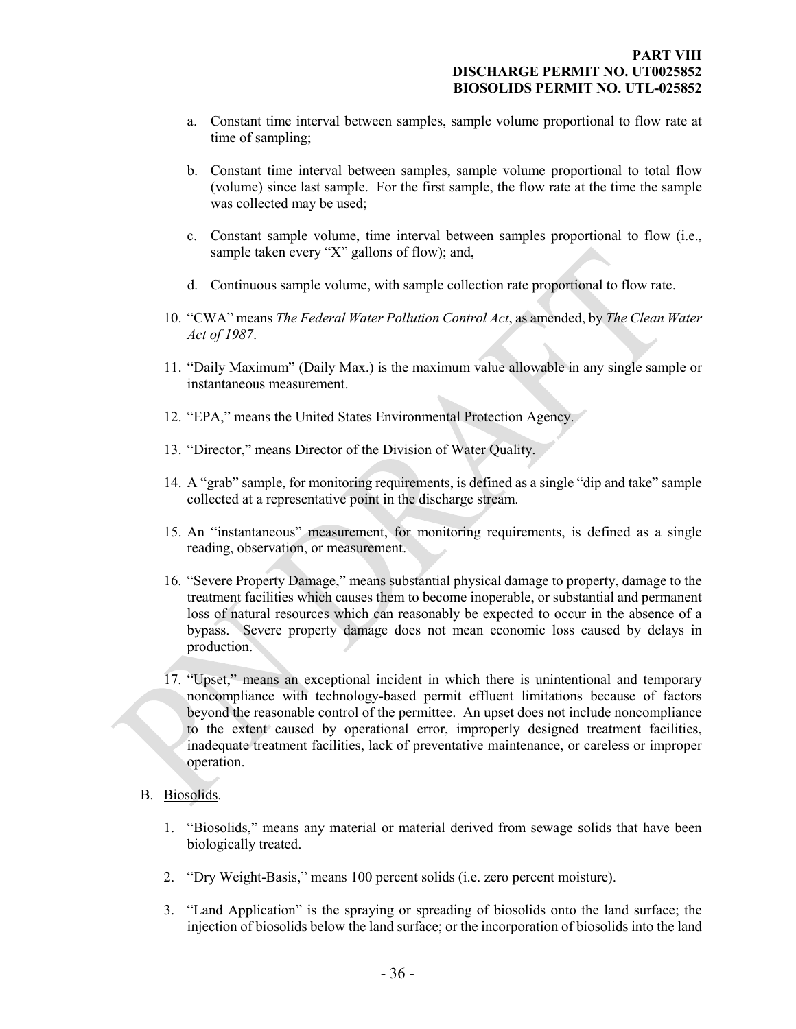- a. Constant time interval between samples, sample volume proportional to flow rate at time of sampling;
- b. Constant time interval between samples, sample volume proportional to total flow (volume) since last sample. For the first sample, the flow rate at the time the sample was collected may be used;
- c. Constant sample volume, time interval between samples proportional to flow (i.e., sample taken every "X" gallons of flow); and,
- d. Continuous sample volume, with sample collection rate proportional to flow rate.
- 10. "CWA" means *The Federal Water Pollution Control Act*, as amended, by *The Clean Water Act of 1987*.
- 11. "Daily Maximum" (Daily Max.) is the maximum value allowable in any single sample or instantaneous measurement.
- 12. "EPA," means the United States Environmental Protection Agency.
- 13. "Director," means Director of the Division of Water Quality.
- 14. A "grab" sample, for monitoring requirements, is defined as a single "dip and take" sample collected at a representative point in the discharge stream.
- 15. An "instantaneous" measurement, for monitoring requirements, is defined as a single reading, observation, or measurement.
- 16. "Severe Property Damage," means substantial physical damage to property, damage to the treatment facilities which causes them to become inoperable, or substantial and permanent loss of natural resources which can reasonably be expected to occur in the absence of a bypass. Severe property damage does not mean economic loss caused by delays in production.
- 17. "Upset," means an exceptional incident in which there is unintentional and temporary noncompliance with technology-based permit effluent limitations because of factors beyond the reasonable control of the permittee. An upset does not include noncompliance to the extent caused by operational error, improperly designed treatment facilities, inadequate treatment facilities, lack of preventative maintenance, or careless or improper operation.
- <span id="page-34-0"></span>B. Biosolids.
	- 1. "Biosolids," means any material or material derived from sewage solids that have been biologically treated.
	- 2. "Dry Weight-Basis," means 100 percent solids (i.e. zero percent moisture).
	- 3. "Land Application" is the spraying or spreading of biosolids onto the land surface; the injection of biosolids below the land surface; or the incorporation of biosolids into the land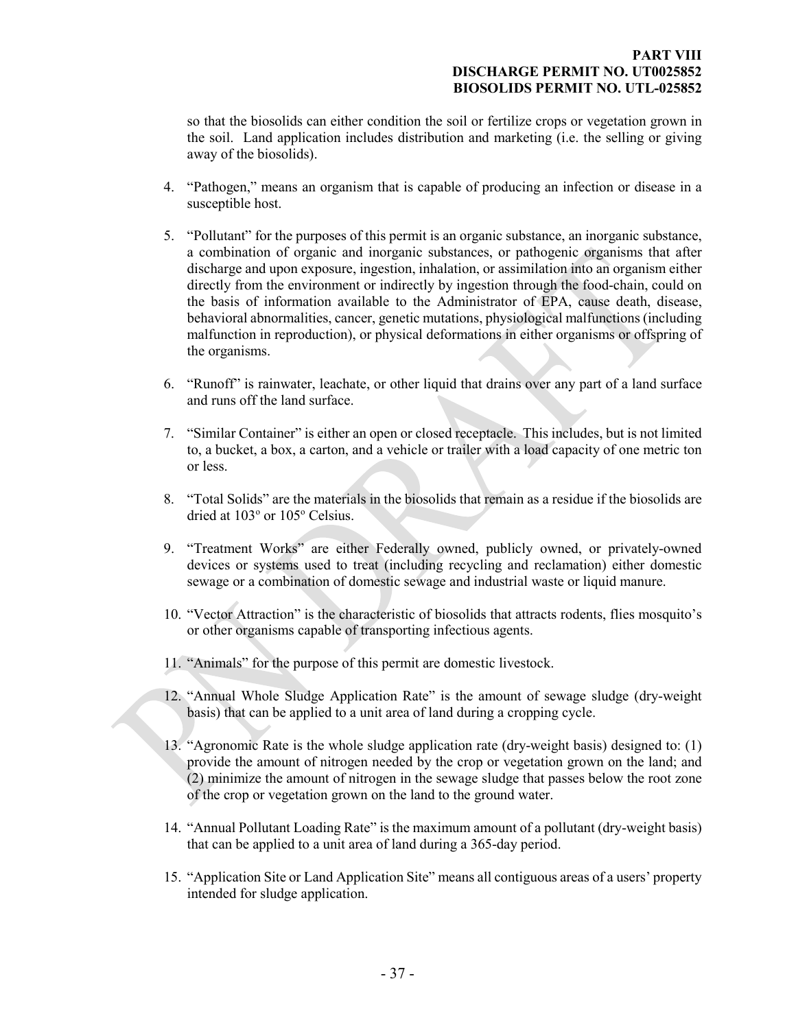#### **PART VIII DISCHARGE PERMIT NO. UT0025852 BIOSOLIDS PERMIT NO. UTL-025852**

so that the biosolids can either condition the soil or fertilize crops or vegetation grown in the soil. Land application includes distribution and marketing (i.e. the selling or giving away of the biosolids).

- 4. "Pathogen," means an organism that is capable of producing an infection or disease in a susceptible host.
- 5. "Pollutant" for the purposes of this permit is an organic substance, an inorganic substance, a combination of organic and inorganic substances, or pathogenic organisms that after discharge and upon exposure, ingestion, inhalation, or assimilation into an organism either directly from the environment or indirectly by ingestion through the food-chain, could on the basis of information available to the Administrator of EPA, cause death, disease, behavioral abnormalities, cancer, genetic mutations, physiological malfunctions (including malfunction in reproduction), or physical deformations in either organisms or offspring of the organisms.
- 6. "Runoff" is rainwater, leachate, or other liquid that drains over any part of a land surface and runs off the land surface.
- 7. "Similar Container" is either an open or closed receptacle. This includes, but is not limited to, a bucket, a box, a carton, and a vehicle or trailer with a load capacity of one metric ton or less.
- 8. "Total Solids" are the materials in the biosolids that remain as a residue if the biosolids are dried at 103° or 105° Celsius.
- 9. "Treatment Works" are either Federally owned, publicly owned, or privately-owned devices or systems used to treat (including recycling and reclamation) either domestic sewage or a combination of domestic sewage and industrial waste or liquid manure.
- 10. "Vector Attraction" is the characteristic of biosolids that attracts rodents, flies mosquito's or other organisms capable of transporting infectious agents.
- 11. "Animals" for the purpose of this permit are domestic livestock.
- 12. "Annual Whole Sludge Application Rate" is the amount of sewage sludge (dry-weight basis) that can be applied to a unit area of land during a cropping cycle.
- 13. "Agronomic Rate is the whole sludge application rate (dry-weight basis) designed to: (1) provide the amount of nitrogen needed by the crop or vegetation grown on the land; and (2) minimize the amount of nitrogen in the sewage sludge that passes below the root zone of the crop or vegetation grown on the land to the ground water.
- 14. "Annual Pollutant Loading Rate" is the maximum amount of a pollutant (dry-weight basis) that can be applied to a unit area of land during a 365-day period.
- 15. "Application Site or Land Application Site" means all contiguous areas of a users' property intended for sludge application.